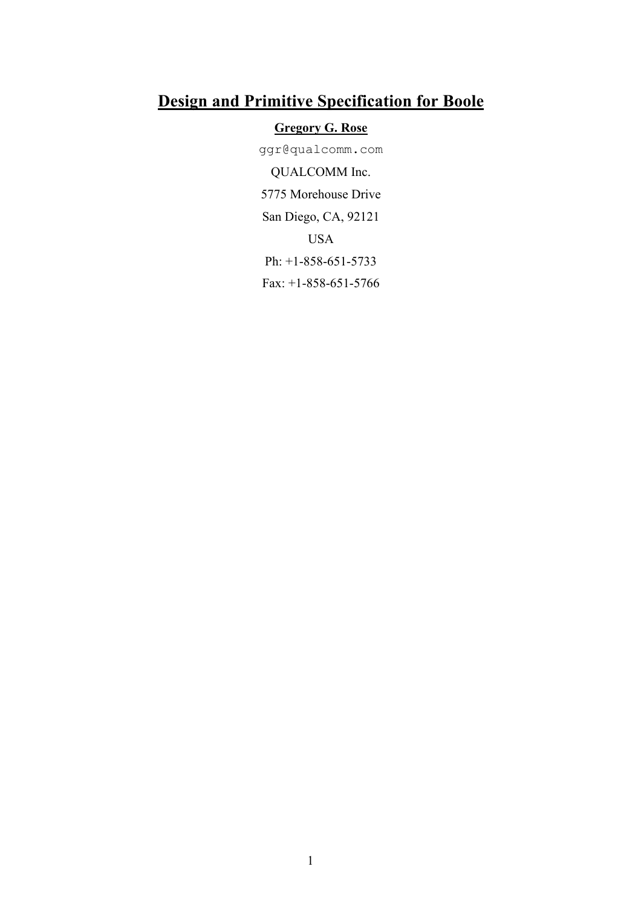# **Design and Primitive Specification for Boole**

# **Gregory G. Rose**

ggr@qualcomm.com QUALCOMM Inc. 5775 Morehouse Drive San Diego, CA, 92121 USA Ph: +1-858-651-5733 Fax: +1-858-651-5766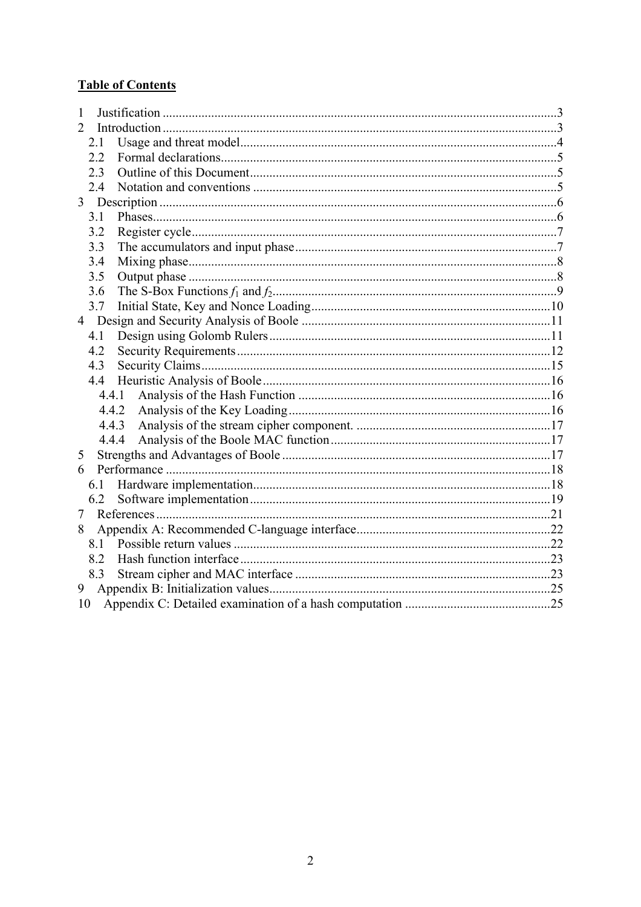# **Table of Contents**

| 1     |  |  |  |  |
|-------|--|--|--|--|
| 2     |  |  |  |  |
| 2.1   |  |  |  |  |
| 2.2   |  |  |  |  |
| 2.3   |  |  |  |  |
| 2.4   |  |  |  |  |
|       |  |  |  |  |
| 3.1   |  |  |  |  |
| 3.2   |  |  |  |  |
| 3.3   |  |  |  |  |
| 3.4   |  |  |  |  |
| 3.5   |  |  |  |  |
| 3.6   |  |  |  |  |
| 3.7   |  |  |  |  |
|       |  |  |  |  |
| 4.1   |  |  |  |  |
| 4.2   |  |  |  |  |
| 4.3   |  |  |  |  |
| 4.4   |  |  |  |  |
| 4.4.1 |  |  |  |  |
| 4.4.2 |  |  |  |  |
| 4.4.3 |  |  |  |  |
| 4.4.4 |  |  |  |  |
| 5     |  |  |  |  |
| 6     |  |  |  |  |
|       |  |  |  |  |
| 6.2   |  |  |  |  |
| 7     |  |  |  |  |
| 8     |  |  |  |  |
| 8.1   |  |  |  |  |
| 8.2   |  |  |  |  |
| 8.3   |  |  |  |  |
| 9     |  |  |  |  |
| 10    |  |  |  |  |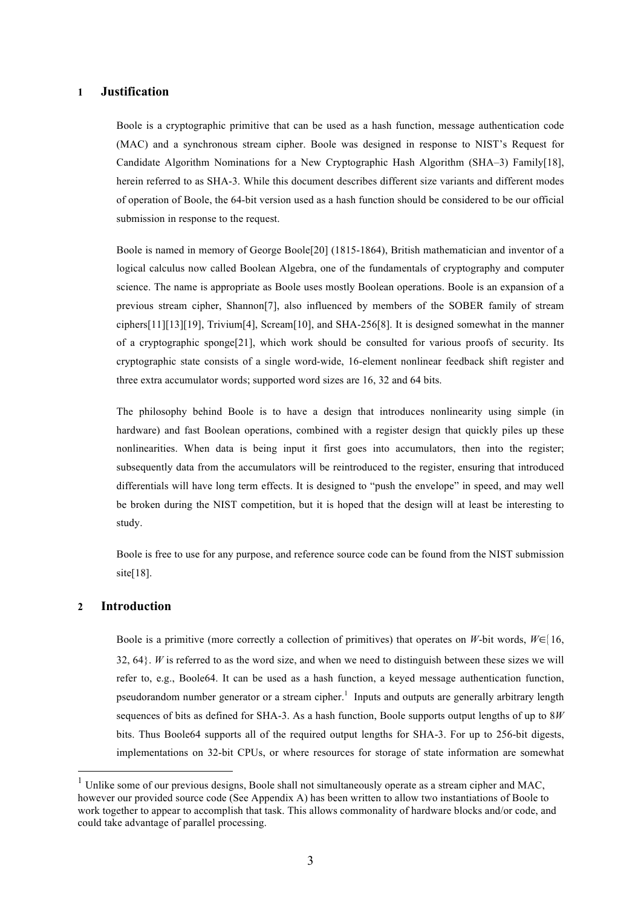# **1 Justification**

Boole is a cryptographic primitive that can be used as a hash function, message authentication code (MAC) and a synchronous stream cipher. Boole was designed in response to NIST's Request for Candidate Algorithm Nominations for a New Cryptographic Hash Algorithm (SHA–3) Family[18], herein referred to as SHA-3. While this document describes different size variants and different modes of operation of Boole, the 64-bit version used as a hash function should be considered to be our official submission in response to the request.

Boole is named in memory of George Boole[20] (1815-1864), British mathematician and inventor of a logical calculus now called Boolean Algebra, one of the fundamentals of cryptography and computer science. The name is appropriate as Boole uses mostly Boolean operations. Boole is an expansion of a previous stream cipher, Shannon[7], also influenced by members of the SOBER family of stream ciphers[11][13][19], Trivium[4], Scream[10], and SHA-256[8]. It is designed somewhat in the manner of a cryptographic sponge[21], which work should be consulted for various proofs of security. Its cryptographic state consists of a single word-wide, 16-element nonlinear feedback shift register and three extra accumulator words; supported word sizes are 16, 32 and 64 bits.

The philosophy behind Boole is to have a design that introduces nonlinearity using simple (in hardware) and fast Boolean operations, combined with a register design that quickly piles up these nonlinearities. When data is being input it first goes into accumulators, then into the register; subsequently data from the accumulators will be reintroduced to the register, ensuring that introduced differentials will have long term effects. It is designed to "push the envelope" in speed, and may well be broken during the NIST competition, but it is hoped that the design will at least be interesting to study.

Boole is free to use for any purpose, and reference source code can be found from the NIST submission site[18].

# **2 Introduction**

Boole is a primitive (more correctly a collection of primitives) that operates on *W*-bit words,  $W \in [16, 16]$ 32, 64}. *W* is referred to as the word size, and when we need to distinguish between these sizes we will refer to, e.g., Boole64. It can be used as a hash function, a keyed message authentication function, pseudorandom number generator or a stream cipher.<sup>1</sup> Inputs and outputs are generally arbitrary length sequences of bits as defined for SHA-3. As a hash function, Boole supports output lengths of up to 8*W* bits. Thus Boole64 supports all of the required output lengths for SHA-3. For up to 256-bit digests, implementations on 32-bit CPUs, or where resources for storage of state information are somewhat

 $1$  Unlike some of our previous designs, Boole shall not simultaneously operate as a stream cipher and MAC, however our provided source code (See Appendix A) has been written to allow two instantiations of Boole to work together to appear to accomplish that task. This allows commonality of hardware blocks and/or code, and could take advantage of parallel processing.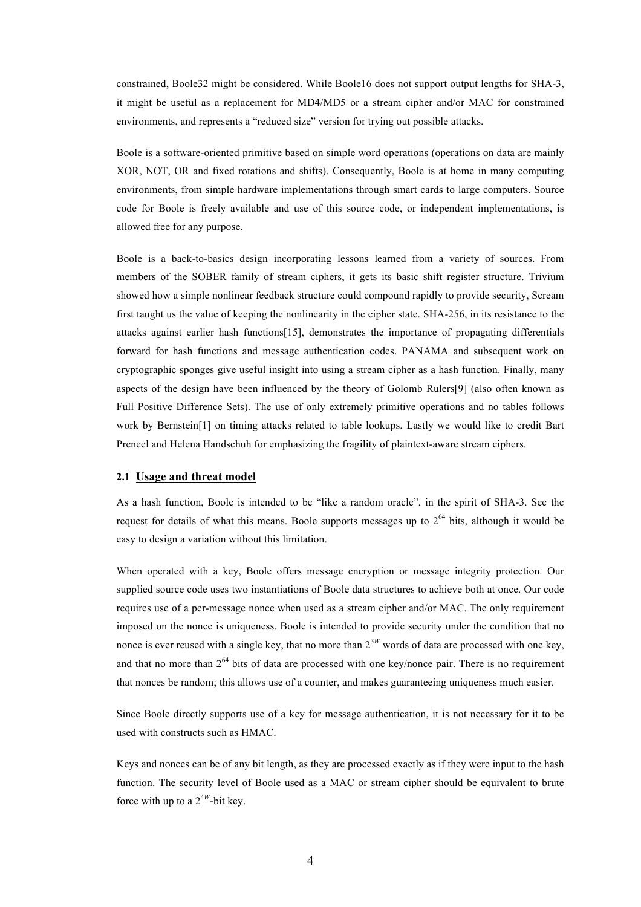constrained, Boole32 might be considered. While Boole16 does not support output lengths for SHA-3, it might be useful as a replacement for MD4/MD5 or a stream cipher and/or MAC for constrained environments, and represents a "reduced size" version for trying out possible attacks.

Boole is a software-oriented primitive based on simple word operations (operations on data are mainly XOR, NOT, OR and fixed rotations and shifts). Consequently, Boole is at home in many computing environments, from simple hardware implementations through smart cards to large computers. Source code for Boole is freely available and use of this source code, or independent implementations, is allowed free for any purpose.

Boole is a back-to-basics design incorporating lessons learned from a variety of sources. From members of the SOBER family of stream ciphers, it gets its basic shift register structure. Trivium showed how a simple nonlinear feedback structure could compound rapidly to provide security, Scream first taught us the value of keeping the nonlinearity in the cipher state. SHA-256, in its resistance to the attacks against earlier hash functions[15], demonstrates the importance of propagating differentials forward for hash functions and message authentication codes. PANAMA and subsequent work on cryptographic sponges give useful insight into using a stream cipher as a hash function. Finally, many aspects of the design have been influenced by the theory of Golomb Rulers[9] (also often known as Full Positive Difference Sets). The use of only extremely primitive operations and no tables follows work by Bernstein[1] on timing attacks related to table lookups. Lastly we would like to credit Bart Preneel and Helena Handschuh for emphasizing the fragility of plaintext-aware stream ciphers.

#### **2.1 Usage and threat model**

As a hash function, Boole is intended to be "like a random oracle", in the spirit of SHA-3. See the request for details of what this means. Boole supports messages up to  $2^{64}$  bits, although it would be easy to design a variation without this limitation.

When operated with a key, Boole offers message encryption or message integrity protection. Our supplied source code uses two instantiations of Boole data structures to achieve both at once. Our code requires use of a per-message nonce when used as a stream cipher and/or MAC. The only requirement imposed on the nonce is uniqueness. Boole is intended to provide security under the condition that no nonce is ever reused with a single key, that no more than  $2^{3W}$  words of data are processed with one kev. and that no more than  $2^{64}$  bits of data are processed with one key/nonce pair. There is no requirement that nonces be random; this allows use of a counter, and makes guaranteeing uniqueness much easier.

Since Boole directly supports use of a key for message authentication, it is not necessary for it to be used with constructs such as HMAC.

Keys and nonces can be of any bit length, as they are processed exactly as if they were input to the hash function. The security level of Boole used as a MAC or stream cipher should be equivalent to brute force with up to a  $2^{4W}$ -bit key.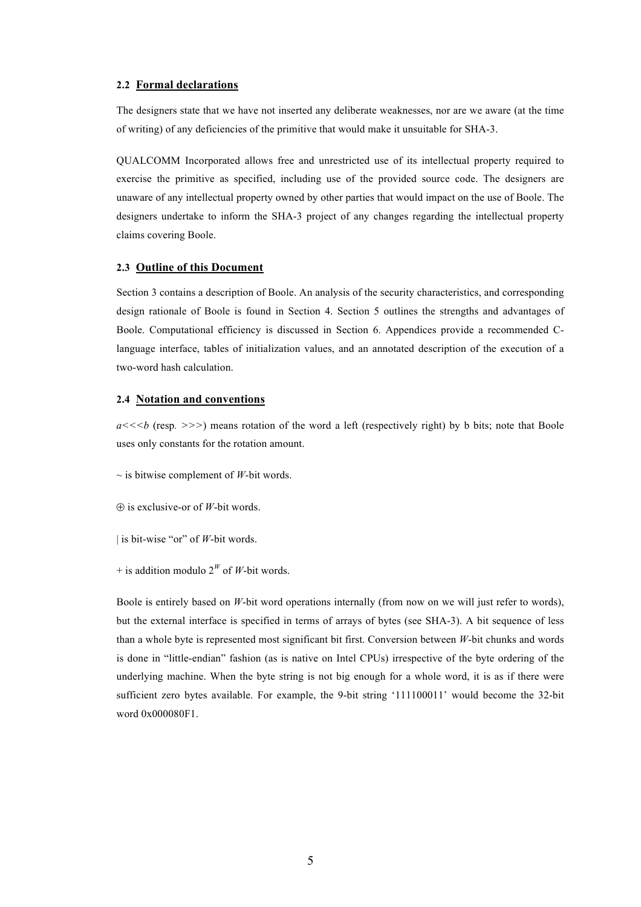#### **2.2 Formal declarations**

The designers state that we have not inserted any deliberate weaknesses, nor are we aware (at the time of writing) of any deficiencies of the primitive that would make it unsuitable for SHA-3.

QUALCOMM Incorporated allows free and unrestricted use of its intellectual property required to exercise the primitive as specified, including use of the provided source code. The designers are unaware of any intellectual property owned by other parties that would impact on the use of Boole. The designers undertake to inform the SHA-3 project of any changes regarding the intellectual property claims covering Boole.

#### **2.3 Outline of this Document**

Section 3 contains a description of Boole. An analysis of the security characteristics, and corresponding design rationale of Boole is found in Section 4. Section 5 outlines the strengths and advantages of Boole. Computational efficiency is discussed in Section 6. Appendices provide a recommended Clanguage interface, tables of initialization values, and an annotated description of the execution of a two-word hash calculation.

#### **2.4 Notation and conventions**

*a<<<b* (resp*. >>>*) means rotation of the word a left (respectively right) by b bits; note that Boole uses only constants for the rotation amount.

 $\sim$  is bitwise complement of *W*-bit words.

⊕ is exclusive-or of *W*-bit words.

| is bit-wise "or" of *W*-bit words.

+ is addition modulo  $2^W$  of *W*-bit words.

Boole is entirely based on *W*-bit word operations internally (from now on we will just refer to words), but the external interface is specified in terms of arrays of bytes (see SHA-3). A bit sequence of less than a whole byte is represented most significant bit first. Conversion between *W*-bit chunks and words is done in "little-endian" fashion (as is native on Intel CPUs) irrespective of the byte ordering of the underlying machine. When the byte string is not big enough for a whole word, it is as if there were sufficient zero bytes available. For example, the 9-bit string '111100011' would become the 32-bit word 0x000080F1.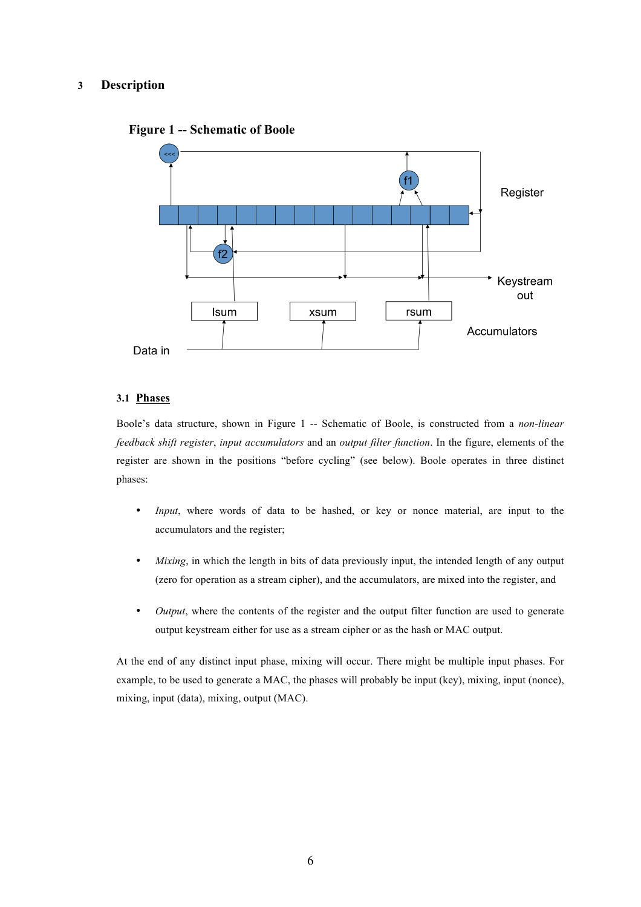# **3 Description**



# **Figure 1 -- Schematic of Boole**

# **3.1 Phases**

Boole's data structure, shown in Figure 1 -- Schematic of Boole, is constructed from a *non-linear feedback shift register*, *input accumulators* and an *output filter function*. In the figure, elements of the register are shown in the positions "before cycling" (see below). Boole operates in three distinct phases:

- *Input*, where words of data to be hashed, or key or nonce material, are input to the accumulators and the register;
- *Mixing*, in which the length in bits of data previously input, the intended length of any output (zero for operation as a stream cipher), and the accumulators, are mixed into the register, and
- *Output*, where the contents of the register and the output filter function are used to generate output keystream either for use as a stream cipher or as the hash or MAC output.

At the end of any distinct input phase, mixing will occur. There might be multiple input phases. For example, to be used to generate a MAC, the phases will probably be input (key), mixing, input (nonce), mixing, input (data), mixing, output (MAC).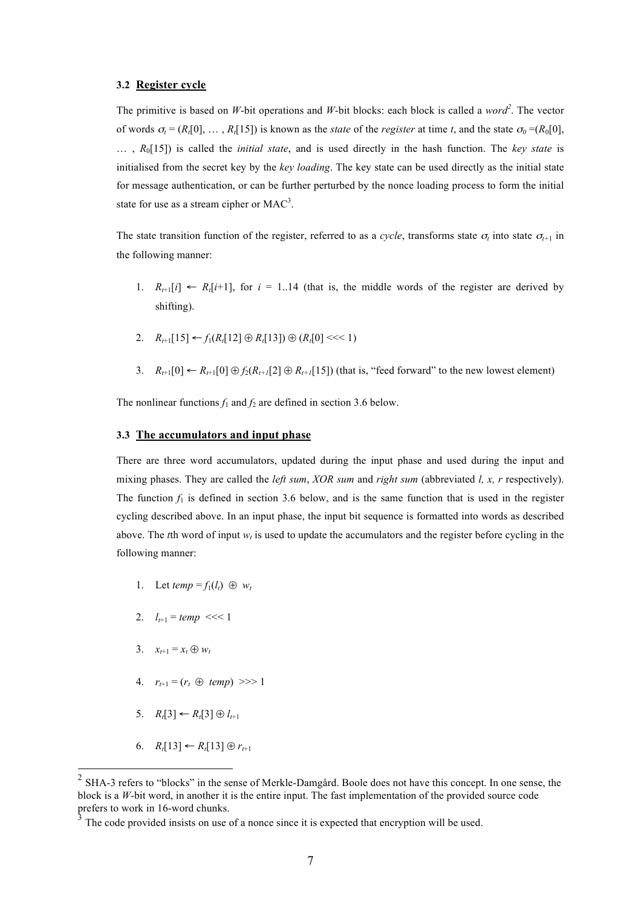#### **3.2 Register cycle**

The primitive is based on *W*-bit operations and *W*-bit blocks: each block is called a *word<sup>2</sup>* . The vector of words  $\sigma_t = (R_t[0], \ldots, R_t[15])$  is known as the *state* of the *register* at time *t*, and the state  $\sigma_0 = (R_0[0],$ … , *R*0[15]) is called the *initial state*, and is used directly in the hash function. The *key state* is initialised from the secret key by the *key loading*. The key state can be used directly as the initial state for message authentication, or can be further perturbed by the nonce loading process to form the initial state for use as a stream cipher or  $MAC<sup>3</sup>$ .

The state transition function of the register, referred to as a *cycle*, transforms state  $\sigma_t$  into state  $\sigma_{t+1}$  in the following manner:

- 1.  $R_{t+1}[i] \leftarrow R_t[i+1]$ , for  $i = 1..14$  (that is, the middle words of the register are derived by shifting).
- 2.  $R_{t+1}[15] \leftarrow f_1(R_t[12] \oplus R_t[13]) \oplus (R_t[0] \le t \le 1)$
- 3.  $R_{t+1}[0] \leftarrow R_{t+1}[0] \oplus f_2(R_{t+1}[2] \oplus R_{t+1}[15])$  (that is, "feed forward" to the new lowest element)

The nonlinear functions  $f_1$  and  $f_2$  are defined in section 3.6 below.

### **3.3 The accumulators and input phase**

There are three word accumulators, updated during the input phase and used during the input and mixing phases. They are called the *left sum*, *XOR sum* and *right sum* (abbreviated *l, x, r* respectively). The function  $f_1$  is defined in section 3.6 below, and is the same function that is used in the register cycling described above. In an input phase, the input bit sequence is formatted into words as described above. The *t*th word of input  $w_t$  is used to update the accumulators and the register before cycling in the following manner:

- 1. Let  $temp = f_1(l_t) \oplus w_t$
- 2.  $l_{t+1} = temp \ll 1$
- 3.  $x_{t+1} = x_t \oplus w_t$
- 4.  $r_{t+1} = (r_t \oplus temp) >> 1$
- 5.  $R_t$ [3] ←  $R_t$ [3] ⊕  $l_{t+1}$
- 6.  $R_t[13]$  ←  $R_t[13] \oplus r_{t+1}$

<sup>&</sup>lt;sup>2</sup> SHA-3 refers to "blocks" in the sense of Merkle-Damgård. Boole does not have this concept. In one sense, the block is a *W*-bit word, in another it is the entire input. The fast implementation of the provided source code prefers to work in 16-word chunks.

The code provided insists on use of a nonce since it is expected that encryption will be used.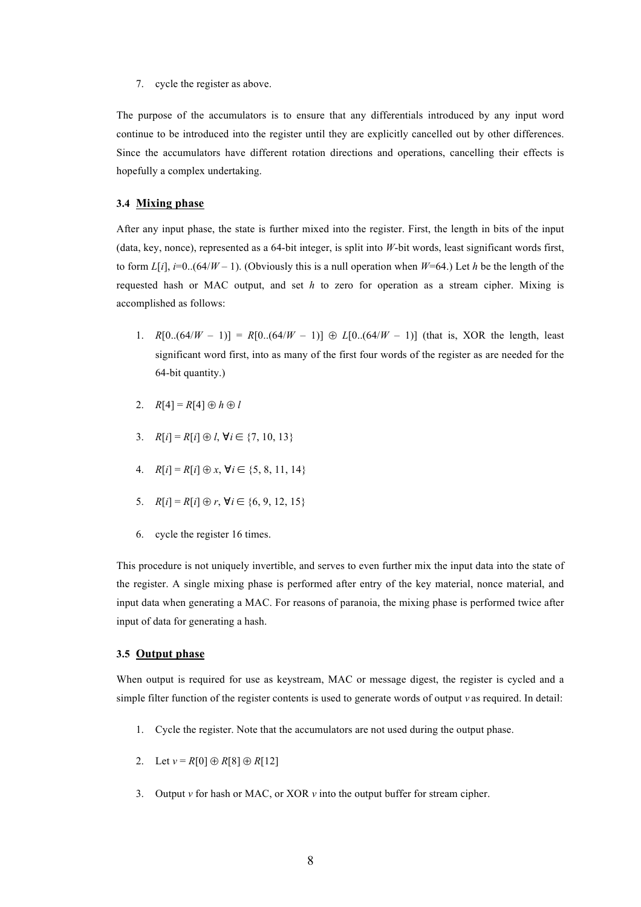7. cycle the register as above.

The purpose of the accumulators is to ensure that any differentials introduced by any input word continue to be introduced into the register until they are explicitly cancelled out by other differences. Since the accumulators have different rotation directions and operations, cancelling their effects is hopefully a complex undertaking.

#### **3.4 Mixing phase**

After any input phase, the state is further mixed into the register. First, the length in bits of the input (data, key, nonce), represented as a 64-bit integer, is split into *W*-bit words, least significant words first, to form  $L[i]$ ,  $i=0..(64/W-1)$ . (Obviously this is a null operation when  $W=64$ .) Let *h* be the length of the requested hash or MAC output, and set *h* to zero for operation as a stream cipher. Mixing is accomplished as follows:

- 1. *R*[0..(64/*W* 1)] = *R*[0..(64/*W* 1)]  $\oplus$  *L*[0..(64/*W* 1)] (that is, XOR the length, least significant word first, into as many of the first four words of the register as are needed for the 64-bit quantity.)
- 2.  $R[4] = R[4] \oplus h \oplus l$
- 3.  $R[i] = R[i] \oplus l$ ,  $\forall i \in \{7, 10, 13\}$
- 4.  $R[i] = R[i] \oplus x, \forall i \in \{5, 8, 11, 14\}$
- 5.  $R[i] = R[i] \oplus r, \forall i \in \{6, 9, 12, 15\}$
- 6. cycle the register 16 times.

This procedure is not uniquely invertible, and serves to even further mix the input data into the state of the register. A single mixing phase is performed after entry of the key material, nonce material, and input data when generating a MAC. For reasons of paranoia, the mixing phase is performed twice after input of data for generating a hash.

# **3.5 Output phase**

When output is required for use as keystream, MAC or message digest, the register is cycled and a simple filter function of the register contents is used to generate words of output *v* as required. In detail:

- 1. Cycle the register. Note that the accumulators are not used during the output phase.
- 2. Let  $v = R[0] \oplus R[8] \oplus R[12]$
- 3. Output *v* for hash or MAC, or XOR *v* into the output buffer for stream cipher.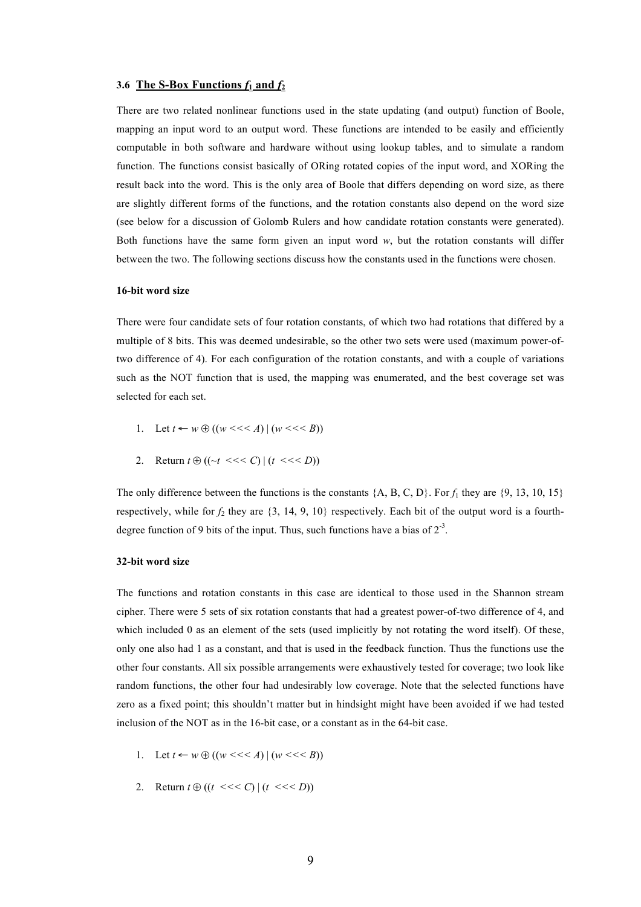#### **3.6 The S-Box Functions**  $f_1$  **and**  $f_2$

There are two related nonlinear functions used in the state updating (and output) function of Boole, mapping an input word to an output word. These functions are intended to be easily and efficiently computable in both software and hardware without using lookup tables, and to simulate a random function. The functions consist basically of ORing rotated copies of the input word, and XORing the result back into the word. This is the only area of Boole that differs depending on word size, as there are slightly different forms of the functions, and the rotation constants also depend on the word size (see below for a discussion of Golomb Rulers and how candidate rotation constants were generated). Both functions have the same form given an input word *w*, but the rotation constants will differ between the two. The following sections discuss how the constants used in the functions were chosen.

#### **16-bit word size**

There were four candidate sets of four rotation constants, of which two had rotations that differed by a multiple of 8 bits. This was deemed undesirable, so the other two sets were used (maximum power-oftwo difference of 4). For each configuration of the rotation constants, and with a couple of variations such as the NOT function that is used, the mapping was enumerated, and the best coverage set was selected for each set.

- 1. Let  $t \leftarrow w \oplus ((w \leq \leq A) | (w \leq \leq B))$
- 2. Return  $t \oplus ((\neg t \leq t \leq C) | (t \leq t \leq D))$

The only difference between the functions is the constants  $\{A, B, C, D\}$ . For  $f_1$  they are  $\{9, 13, 10, 15\}$ respectively, while for  $f_2$  they are  $\{3, 14, 9, 10\}$  respectively. Each bit of the output word is a fourthdegree function of 9 bits of the input. Thus, such functions have a bias of  $2^{-3}$ .

# **32-bit word size**

The functions and rotation constants in this case are identical to those used in the Shannon stream cipher. There were 5 sets of six rotation constants that had a greatest power-of-two difference of 4, and which included 0 as an element of the sets (used implicitly by not rotating the word itself). Of these, only one also had 1 as a constant, and that is used in the feedback function. Thus the functions use the other four constants. All six possible arrangements were exhaustively tested for coverage; two look like random functions, the other four had undesirably low coverage. Note that the selected functions have zero as a fixed point; this shouldn't matter but in hindsight might have been avoided if we had tested inclusion of the NOT as in the 16-bit case, or a constant as in the 64-bit case.

- 1. Let  $t \leftarrow w \oplus ((w \leq \leq A) | (w \leq \leq B))$
- 2. Return  $t \oplus ((t \leq t \leq C) | (t \leq t \leq D))$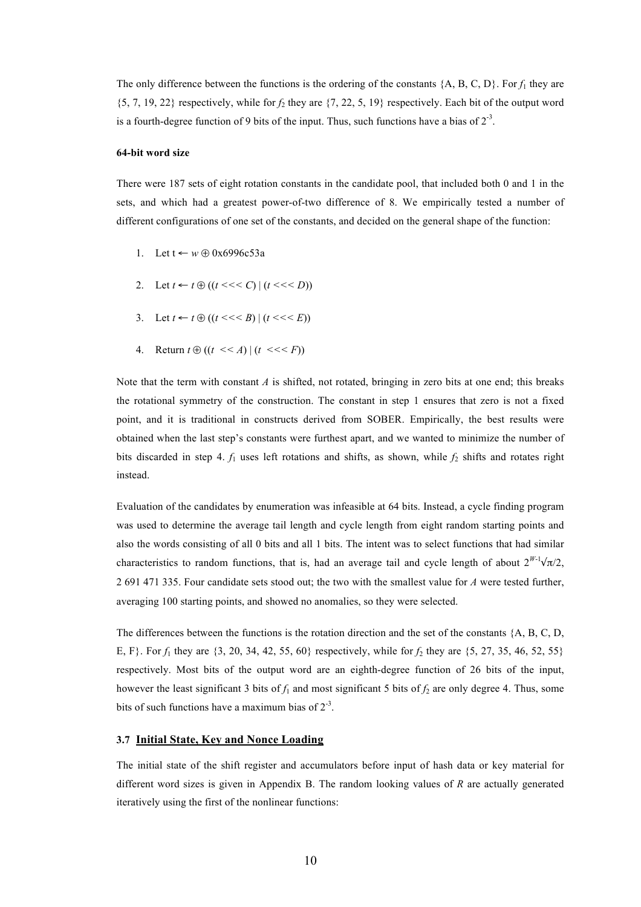The only difference between the functions is the ordering of the constants  $\{A, B, C, D\}$ . For  $f_1$  they are  $\{5, 7, 19, 22\}$  respectively, while for  $f_2$  they are  $\{7, 22, 5, 19\}$  respectively. Each bit of the output word is a fourth-degree function of 9 bits of the input. Thus, such functions have a bias of  $2^{-3}$ .

#### **64-bit word size**

There were 187 sets of eight rotation constants in the candidate pool, that included both 0 and 1 in the sets, and which had a greatest power-of-two difference of 8. We empirically tested a number of different configurations of one set of the constants, and decided on the general shape of the function:

- 1. Let t ← *w* ⊕ 0x6996c53a
- 2. Let  $t \leftarrow t \oplus ((t \leq t \leq C) | (t \leq t \leq D))$
- 3. Let  $t \leftarrow t \oplus ((t \leq t \leq B) | (t \leq t \leq E))$
- 4. Return  $t \oplus ((t \leq A) | (t \leq t \leq F))$

Note that the term with constant *A* is shifted, not rotated, bringing in zero bits at one end; this breaks the rotational symmetry of the construction. The constant in step 1 ensures that zero is not a fixed point, and it is traditional in constructs derived from SOBER. Empirically, the best results were obtained when the last step's constants were furthest apart, and we wanted to minimize the number of bits discarded in step 4. *f*<sup>1</sup> uses left rotations and shifts, as shown, while *f*<sup>2</sup> shifts and rotates right instead.

Evaluation of the candidates by enumeration was infeasible at 64 bits. Instead, a cycle finding program was used to determine the average tail length and cycle length from eight random starting points and also the words consisting of all 0 bits and all 1 bits. The intent was to select functions that had similar characteristics to random functions, that is, had an average tail and cycle length of about  $2^{W-1}\sqrt{\pi}/2$ , 2 691 471 335. Four candidate sets stood out; the two with the smallest value for *A* were tested further, averaging 100 starting points, and showed no anomalies, so they were selected.

The differences between the functions is the rotation direction and the set of the constants  ${A, B, C, D}$ , E, F}. For *f*<sup>1</sup> they are {3, 20, 34, 42, 55, 60} respectively, while for *f*<sup>2</sup> they are {5, 27, 35, 46, 52, 55} respectively. Most bits of the output word are an eighth-degree function of 26 bits of the input, however the least significant 3 bits of  $f_1$  and most significant 5 bits of  $f_2$  are only degree 4. Thus, some bits of such functions have a maximum bias of  $2^{-3}$ .

# **3.7 Initial State, Key and Nonce Loading**

The initial state of the shift register and accumulators before input of hash data or key material for different word sizes is given in Appendix B. The random looking values of *R* are actually generated iteratively using the first of the nonlinear functions: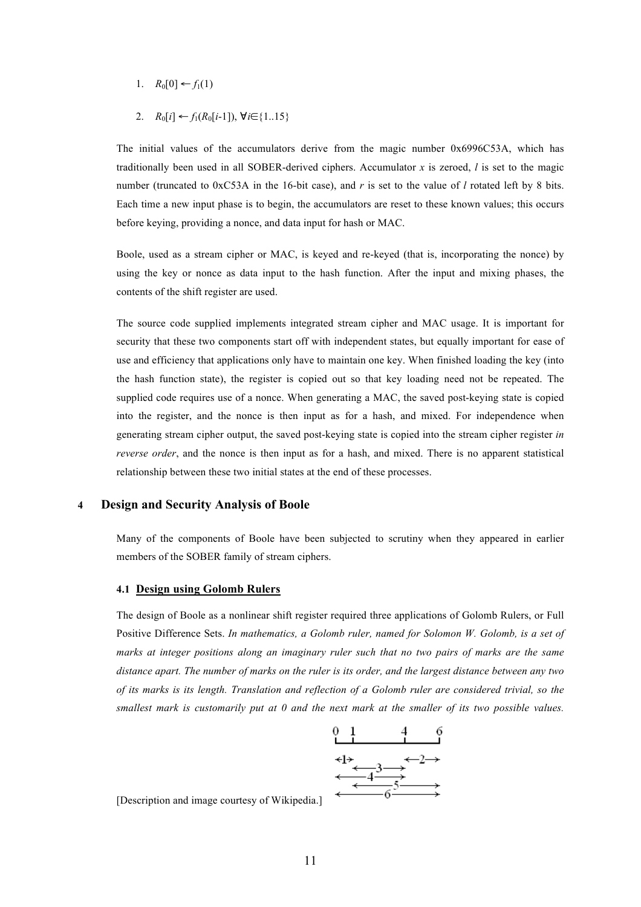- 1.  $R_0[0]$  ←  $f_1(1)$
- 2.  $R_0[i] \leftarrow f_1(R_0[i-1])$ , ∀*i*∈{1..15}

The initial values of the accumulators derive from the magic number 0x6996C53A, which has traditionally been used in all SOBER-derived ciphers. Accumulator *x* is zeroed, *l* is set to the magic number (truncated to 0xC53A in the 16-bit case), and *r* is set to the value of *l* rotated left by 8 bits. Each time a new input phase is to begin, the accumulators are reset to these known values; this occurs before keying, providing a nonce, and data input for hash or MAC.

Boole, used as a stream cipher or MAC, is keyed and re-keyed (that is, incorporating the nonce) by using the key or nonce as data input to the hash function. After the input and mixing phases, the contents of the shift register are used.

The source code supplied implements integrated stream cipher and MAC usage. It is important for security that these two components start off with independent states, but equally important for ease of use and efficiency that applications only have to maintain one key. When finished loading the key (into the hash function state), the register is copied out so that key loading need not be repeated. The supplied code requires use of a nonce. When generating a MAC, the saved post-keying state is copied into the register, and the nonce is then input as for a hash, and mixed. For independence when generating stream cipher output, the saved post-keying state is copied into the stream cipher register *in reverse order*, and the nonce is then input as for a hash, and mixed. There is no apparent statistical relationship between these two initial states at the end of these processes.

# **4 Design and Security Analysis of Boole**

Many of the components of Boole have been subjected to scrutiny when they appeared in earlier members of the SOBER family of stream ciphers.

#### **4.1 Design using Golomb Rulers**

The design of Boole as a nonlinear shift register required three applications of Golomb Rulers, or Full Positive Difference Sets. *In mathematics, a Golomb ruler, named for Solomon W. Golomb, is a set of marks at integer positions along an imaginary ruler such that no two pairs of marks are the same* distance apart. The number of marks on the ruler is its order, and the largest distance between any two of its marks is its length. Translation and reflection of a Golomb ruler are considered trivial, so the smallest mark is customarily put at 0 and the next mark at the smaller of its two possible values.



[Description and image courtesy of Wikipedia.]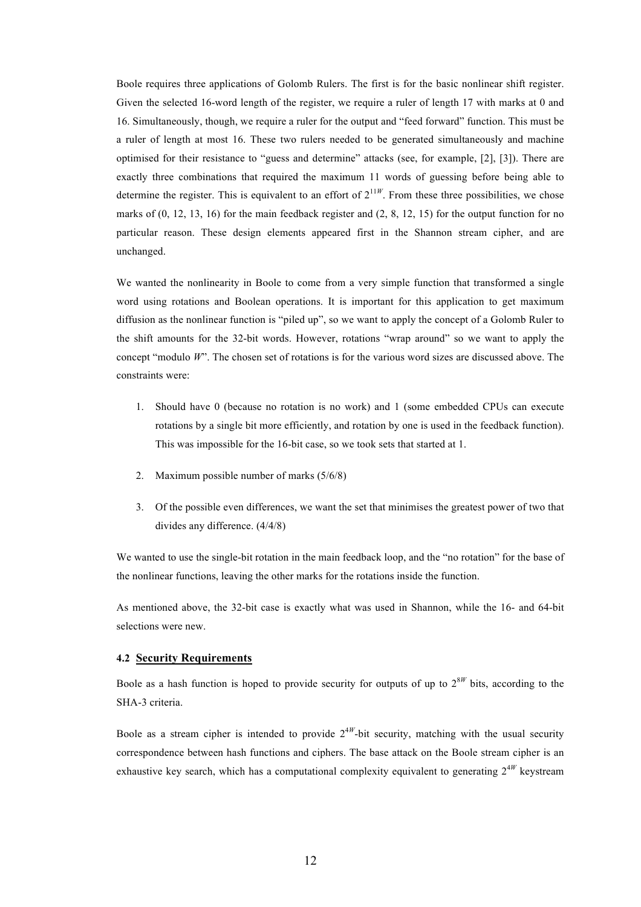Boole requires three applications of Golomb Rulers. The first is for the basic nonlinear shift register. Given the selected 16-word length of the register, we require a ruler of length 17 with marks at 0 and 16. Simultaneously, though, we require a ruler for the output and "feed forward" function. This must be a ruler of length at most 16. These two rulers needed to be generated simultaneously and machine optimised for their resistance to "guess and determine" attacks (see, for example, [2], [3]). There are exactly three combinations that required the maximum 11 words of guessing before being able to determine the register. This is equivalent to an effort of  $2^{11W}$ . From these three possibilities, we chose marks of  $(0, 12, 13, 16)$  for the main feedback register and  $(2, 8, 12, 15)$  for the output function for no particular reason. These design elements appeared first in the Shannon stream cipher, and are unchanged.

We wanted the nonlinearity in Boole to come from a very simple function that transformed a single word using rotations and Boolean operations. It is important for this application to get maximum diffusion as the nonlinear function is "piled up", so we want to apply the concept of a Golomb Ruler to the shift amounts for the 32-bit words. However, rotations "wrap around" so we want to apply the concept "modulo *W*". The chosen set of rotations is for the various word sizes are discussed above. The constraints were:

- 1. Should have 0 (because no rotation is no work) and 1 (some embedded CPUs can execute rotations by a single bit more efficiently, and rotation by one is used in the feedback function). This was impossible for the 16-bit case, so we took sets that started at 1.
- 2. Maximum possible number of marks (5/6/8)
- 3. Of the possible even differences, we want the set that minimises the greatest power of two that divides any difference. (4/4/8)

We wanted to use the single-bit rotation in the main feedback loop, and the "no rotation" for the base of the nonlinear functions, leaving the other marks for the rotations inside the function.

As mentioned above, the 32-bit case is exactly what was used in Shannon, while the 16- and 64-bit selections were new.

#### **4.2 Security Requirements**

Boole as a hash function is hoped to provide security for outputs of up to  $2^{8W}$  bits, according to the SHA-3 criteria.

Boole as a stream cipher is intended to provide  $2^{4W}$ -bit security, matching with the usual security correspondence between hash functions and ciphers. The base attack on the Boole stream cipher is an exhaustive key search, which has a computational complexity equivalent to generating  $2^{4W}$  keystream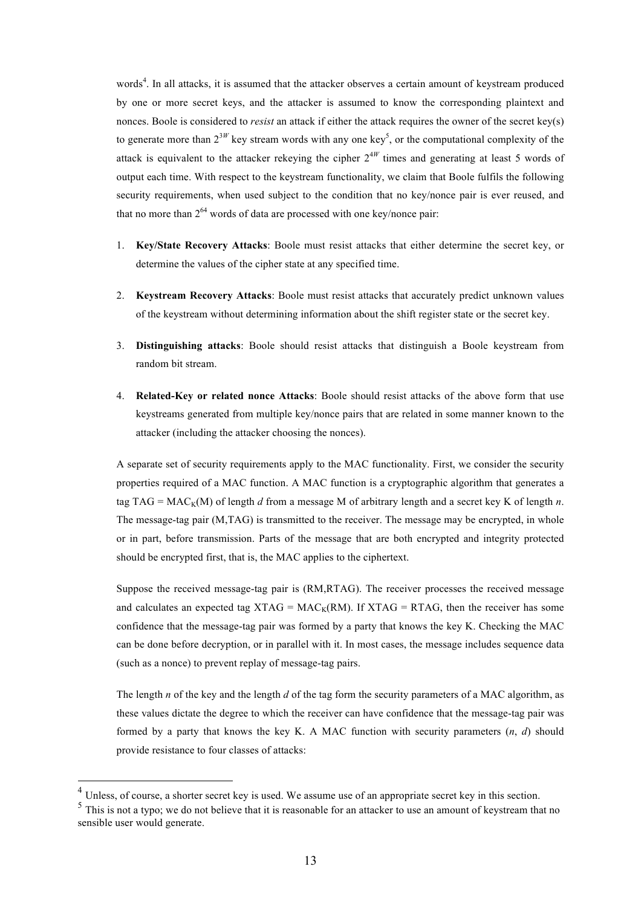words<sup>4</sup>. In all attacks, it is assumed that the attacker observes a certain amount of keystream produced by one or more secret keys, and the attacker is assumed to know the corresponding plaintext and nonces. Boole is considered to *resist* an attack if either the attack requires the owner of the secret key(s) to generate more than  $2^{3W}$  key stream words with any one key<sup>5</sup>, or the computational complexity of the attack is equivalent to the attacker rekeying the cipher 2<sup>4</sup>*<sup>W</sup>* times and generating at least 5 words of output each time. With respect to the keystream functionality, we claim that Boole fulfils the following security requirements, when used subject to the condition that no key/nonce pair is ever reused, and that no more than  $2^{64}$  words of data are processed with one key/nonce pair:

- 1. **Key/State Recovery Attacks**: Boole must resist attacks that either determine the secret key, or determine the values of the cipher state at any specified time.
- 2. **Keystream Recovery Attacks**: Boole must resist attacks that accurately predict unknown values of the keystream without determining information about the shift register state or the secret key.
- 3. **Distinguishing attacks**: Boole should resist attacks that distinguish a Boole keystream from random bit stream.
- 4. **Related-Key or related nonce Attacks**: Boole should resist attacks of the above form that use keystreams generated from multiple key/nonce pairs that are related in some manner known to the attacker (including the attacker choosing the nonces).

A separate set of security requirements apply to the MAC functionality. First, we consider the security properties required of a MAC function. A MAC function is a cryptographic algorithm that generates a tag TAG =  $MAC_K(M)$  of length *d* from a message M of arbitrary length and a secret key K of length *n*. The message-tag pair (M,TAG) is transmitted to the receiver. The message may be encrypted, in whole or in part, before transmission. Parts of the message that are both encrypted and integrity protected should be encrypted first, that is, the MAC applies to the ciphertext.

Suppose the received message-tag pair is (RM,RTAG). The receiver processes the received message and calculates an expected tag XTAG =  $MAC_K(RM)$ . If XTAG = RTAG, then the receiver has some confidence that the message-tag pair was formed by a party that knows the key K. Checking the MAC can be done before decryption, or in parallel with it. In most cases, the message includes sequence data (such as a nonce) to prevent replay of message-tag pairs.

The length *n* of the key and the length *d* of the tag form the security parameters of a MAC algorithm, as these values dictate the degree to which the receiver can have confidence that the message-tag pair was formed by a party that knows the key K. A MAC function with security parameters  $(n, d)$  should provide resistance to four classes of attacks:

<sup>&</sup>lt;sup>4</sup> Unless, of course, a shorter secret key is used. We assume use of an appropriate secret key in this section.

<sup>&</sup>lt;sup>5</sup> This is not a typo; we do not believe that it is reasonable for an attacker to use an amount of keystream that no sensible user would generate.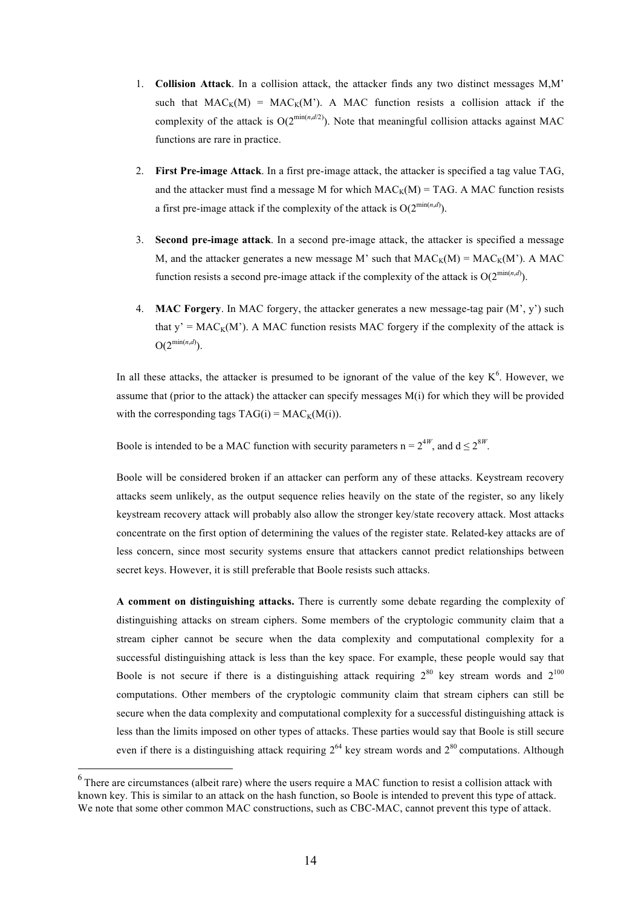- 1. **Collision Attack**. In a collision attack, the attacker finds any two distinct messages M,M' such that  $MAC_K(M) = MAC_K(M')$ . A MAC function resists a collision attack if the complexity of the attack is  $O(2^{\min(n,d/2)})$ . Note that meaningful collision attacks against MAC functions are rare in practice.
- 2. **First Pre-image Attack**. In a first pre-image attack, the attacker is specified a tag value TAG, and the attacker must find a message M for which  $MAC_K(M) = TAG$ . A MAC function resists a first pre-image attack if the complexity of the attack is  $O(2^{\min(n,d)})$ .
- 3. **Second pre-image attack**. In a second pre-image attack, the attacker is specified a message M, and the attacker generates a new message M' such that  $MAC_K(M) = MAC_K(M')$ . A MAC function resists a second pre-image attack if the complexity of the attack is  $O(2^{\min(n,d)})$ .
- 4. **MAC Forgery**. In MAC forgery, the attacker generates a new message-tag pair (M', y') such that  $y' = MAC_K(M')$ . A MAC function resists MAC forgery if the complexity of the attack is  $O(2^{\min(n,d)})$ .

In all these attacks, the attacker is presumed to be ignorant of the value of the key  $K^6$ . However, we assume that (prior to the attack) the attacker can specify messages  $M(i)$  for which they will be provided with the corresponding tags  $TAG(i) = MAC_K(M(i))$ .

Boole is intended to be a MAC function with security parameters  $n = 2^{4W}$ , and  $d \le 2^{8W}$ .

Boole will be considered broken if an attacker can perform any of these attacks. Keystream recovery attacks seem unlikely, as the output sequence relies heavily on the state of the register, so any likely keystream recovery attack will probably also allow the stronger key/state recovery attack. Most attacks concentrate on the first option of determining the values of the register state. Related-key attacks are of less concern, since most security systems ensure that attackers cannot predict relationships between secret keys. However, it is still preferable that Boole resists such attacks.

**A comment on distinguishing attacks.** There is currently some debate regarding the complexity of distinguishing attacks on stream ciphers. Some members of the cryptologic community claim that a stream cipher cannot be secure when the data complexity and computational complexity for a successful distinguishing attack is less than the key space. For example, these people would say that Boole is not secure if there is a distinguishing attack requiring  $2^{80}$  key stream words and  $2^{100}$ computations. Other members of the cryptologic community claim that stream ciphers can still be secure when the data complexity and computational complexity for a successful distinguishing attack is less than the limits imposed on other types of attacks. These parties would say that Boole is still secure even if there is a distinguishing attack requiring  $2^{64}$  key stream words and  $2^{80}$  computations. Although

 <sup>6</sup> There are circumstances (albeit rare) where the users require <sup>a</sup> MAC function to resist <sup>a</sup> collision attack with known key. This is similar to an attack on the hash function, so Boole is intended to prevent this type of attack. We note that some other common MAC constructions, such as CBC-MAC, cannot prevent this type of attack.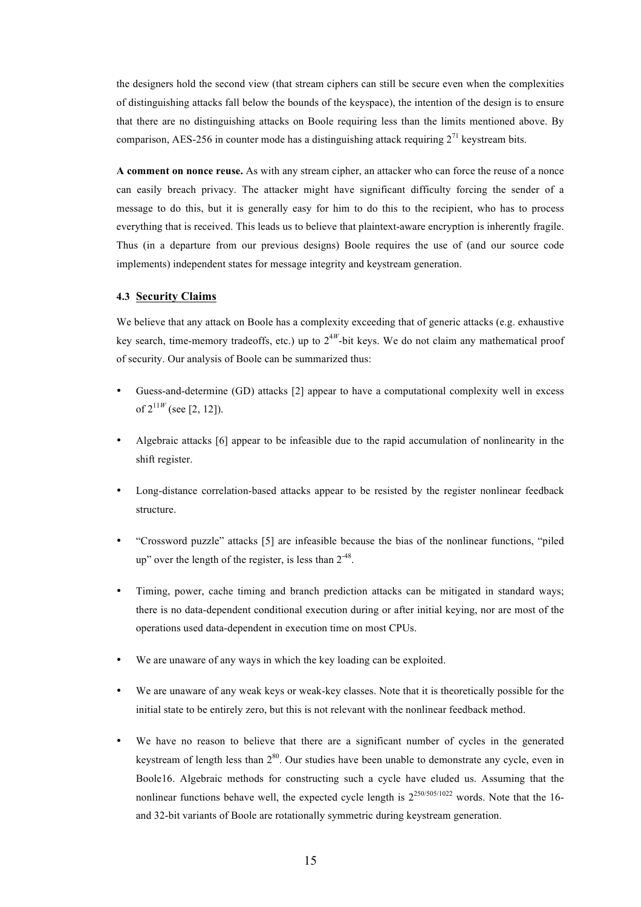the designers hold the second view (that stream ciphers can still be secure even when the complexities of distinguishing attacks fall below the bounds of the keyspace), the intention of the design is to ensure that there are no distinguishing attacks on Boole requiring less than the limits mentioned above. By comparison, AES-256 in counter mode has a distinguishing attack requiring  $2^{71}$  keystream bits.

**A comment on nonce reuse.** As with any stream cipher, an attacker who can force the reuse of a nonce can easily breach privacy. The attacker might have significant difficulty forcing the sender of a message to do this, but it is generally easy for him to do this to the recipient, who has to process everything that is received. This leads us to believe that plaintext-aware encryption is inherently fragile. Thus (in a departure from our previous designs) Boole requires the use of (and our source code implements) independent states for message integrity and keystream generation.

#### **4.3 Security Claims**

We believe that any attack on Boole has a complexity exceeding that of generic attacks (e.g. exhaustive key search, time-memory tradeoffs, etc.) up to 2<sup>4</sup>*<sup>W</sup>*-bit keys. We do not claim any mathematical proof of security. Our analysis of Boole can be summarized thus:

- Guess-and-determine (GD) attacks [2] appear to have a computational complexity well in excess of  $2^{11W}$  (see [2, 12]).
- Algebraic attacks [6] appear to be infeasible due to the rapid accumulation of nonlinearity in the shift register.
- Long-distance correlation-based attacks appear to be resisted by the register nonlinear feedback structure.
- "Crossword puzzle" attacks [5] are infeasible because the bias of the nonlinear functions, "piled up" over the length of the register, is less than  $2^{-48}$ .
- Timing, power, cache timing and branch prediction attacks can be mitigated in standard ways; there is no data-dependent conditional execution during or after initial keying, nor are most of the operations used data-dependent in execution time on most CPUs.
- We are unaware of any ways in which the key loading can be exploited.
- We are unaware of any weak keys or weak-key classes. Note that it is theoretically possible for the initial state to be entirely zero, but this is not relevant with the nonlinear feedback method.
- We have no reason to believe that there are a significant number of cycles in the generated keystream of length less than  $2^{80}$ . Our studies have been unable to demonstrate any cycle, even in Boole16. Algebraic methods for constructing such a cycle have eluded us. Assuming that the nonlinear functions behave well, the expected cycle length is  $2^{250/505/1022}$  words. Note that the 16and 32-bit variants of Boole are rotationally symmetric during keystream generation.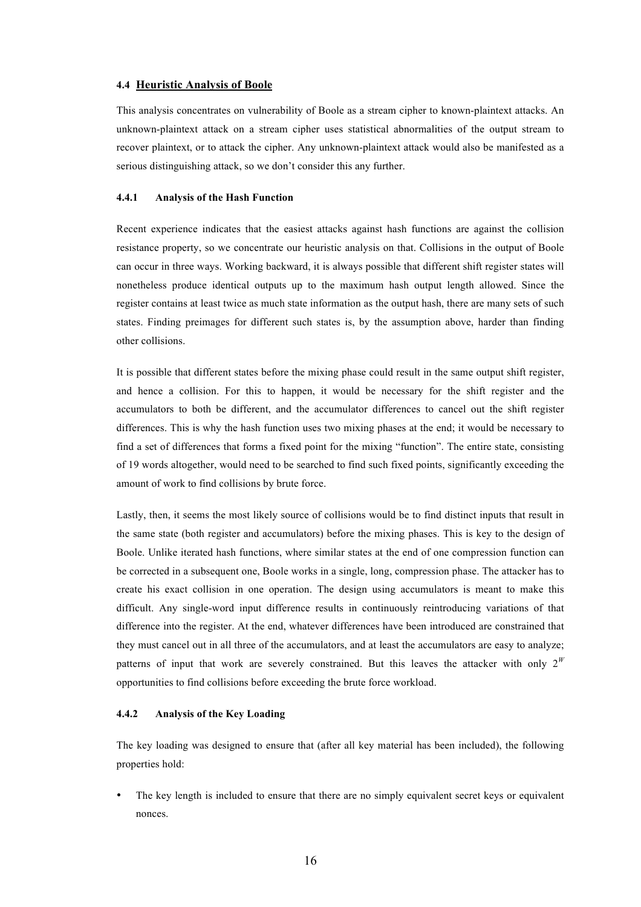#### **4.4 Heuristic Analysis of Boole**

This analysis concentrates on vulnerability of Boole as a stream cipher to known-plaintext attacks. An unknown-plaintext attack on a stream cipher uses statistical abnormalities of the output stream to recover plaintext, or to attack the cipher. Any unknown-plaintext attack would also be manifested as a serious distinguishing attack, so we don't consider this any further.

#### **4.4.1 Analysis of the Hash Function**

Recent experience indicates that the easiest attacks against hash functions are against the collision resistance property, so we concentrate our heuristic analysis on that. Collisions in the output of Boole can occur in three ways. Working backward, it is always possible that different shift register states will nonetheless produce identical outputs up to the maximum hash output length allowed. Since the register contains at least twice as much state information as the output hash, there are many sets of such states. Finding preimages for different such states is, by the assumption above, harder than finding other collisions.

It is possible that different states before the mixing phase could result in the same output shift register, and hence a collision. For this to happen, it would be necessary for the shift register and the accumulators to both be different, and the accumulator differences to cancel out the shift register differences. This is why the hash function uses two mixing phases at the end; it would be necessary to find a set of differences that forms a fixed point for the mixing "function". The entire state, consisting of 19 words altogether, would need to be searched to find such fixed points, significantly exceeding the amount of work to find collisions by brute force.

Lastly, then, it seems the most likely source of collisions would be to find distinct inputs that result in the same state (both register and accumulators) before the mixing phases. This is key to the design of Boole. Unlike iterated hash functions, where similar states at the end of one compression function can be corrected in a subsequent one, Boole works in a single, long, compression phase. The attacker has to create his exact collision in one operation. The design using accumulators is meant to make this difficult. Any single-word input difference results in continuously reintroducing variations of that difference into the register. At the end, whatever differences have been introduced are constrained that they must cancel out in all three of the accumulators, and at least the accumulators are easy to analyze; patterns of input that work are severely constrained. But this leaves the attacker with only  $2^W$ opportunities to find collisions before exceeding the brute force workload.

### **4.4.2 Analysis of the Key Loading**

The key loading was designed to ensure that (after all key material has been included), the following properties hold:

The key length is included to ensure that there are no simply equivalent secret keys or equivalent nonces.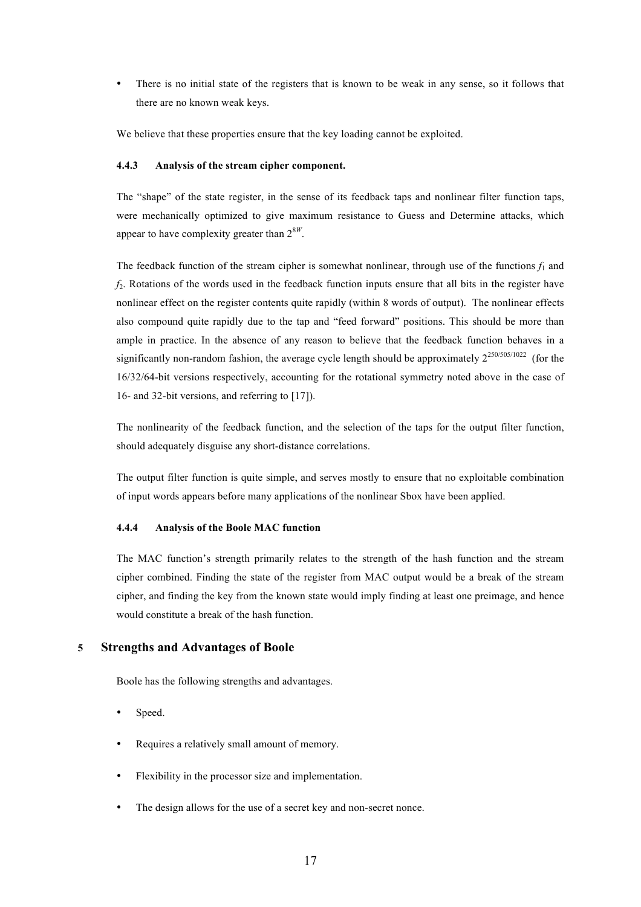• There is no initial state of the registers that is known to be weak in any sense, so it follows that there are no known weak keys.

We believe that these properties ensure that the key loading cannot be exploited.

#### **4.4.3 Analysis of the stream cipher component.**

The "shape" of the state register, in the sense of its feedback taps and nonlinear filter function taps, were mechanically optimized to give maximum resistance to Guess and Determine attacks, which appear to have complexity greater than 2<sup>8</sup>*<sup>W</sup>*.

The feedback function of the stream cipher is somewhat nonlinear, through use of the functions  $f_1$  and *f*2. Rotations of the words used in the feedback function inputs ensure that all bits in the register have nonlinear effect on the register contents quite rapidly (within 8 words of output). The nonlinear effects also compound quite rapidly due to the tap and "feed forward" positions. This should be more than ample in practice. In the absence of any reason to believe that the feedback function behaves in a significantly non-random fashion, the average cycle length should be approximately  $2^{250/505/1022}$  (for the 16/32/64-bit versions respectively, accounting for the rotational symmetry noted above in the case of 16- and 32-bit versions, and referring to [17]).

The nonlinearity of the feedback function, and the selection of the taps for the output filter function, should adequately disguise any short-distance correlations.

The output filter function is quite simple, and serves mostly to ensure that no exploitable combination of input words appears before many applications of the nonlinear Sbox have been applied.

#### **4.4.4 Analysis of the Boole MAC function**

The MAC function's strength primarily relates to the strength of the hash function and the stream cipher combined. Finding the state of the register from MAC output would be a break of the stream cipher, and finding the key from the known state would imply finding at least one preimage, and hence would constitute a break of the hash function.

# **5 Strengths and Advantages of Boole**

Boole has the following strengths and advantages.

- Speed.
- Requires a relatively small amount of memory.
- Flexibility in the processor size and implementation.
- The design allows for the use of a secret key and non-secret nonce.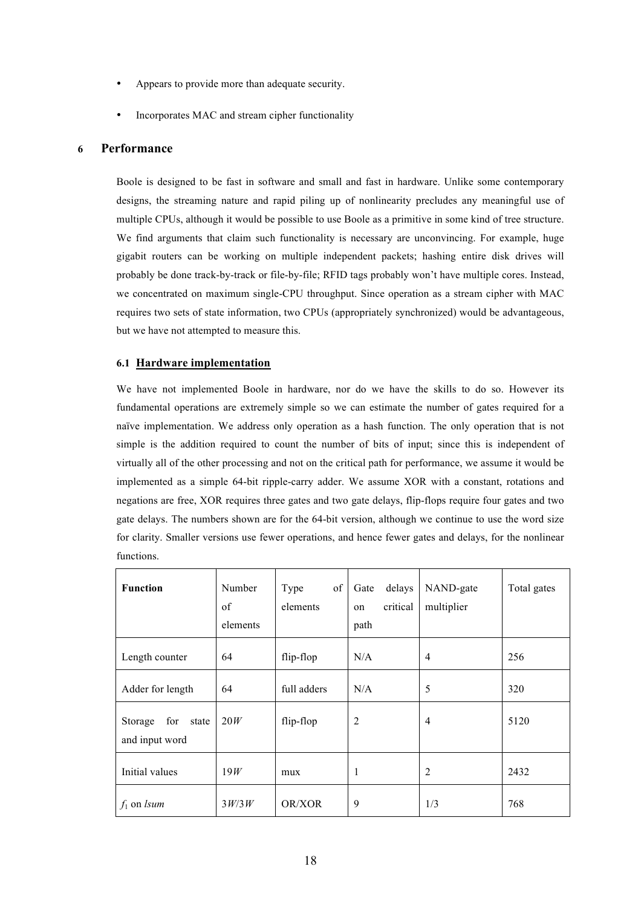- Appears to provide more than adequate security.
- Incorporates MAC and stream cipher functionality

# **6 Performance**

Boole is designed to be fast in software and small and fast in hardware. Unlike some contemporary designs, the streaming nature and rapid piling up of nonlinearity precludes any meaningful use of multiple CPUs, although it would be possible to use Boole as a primitive in some kind of tree structure. We find arguments that claim such functionality is necessary are unconvincing. For example, huge gigabit routers can be working on multiple independent packets; hashing entire disk drives will probably be done track-by-track or file-by-file; RFID tags probably won't have multiple cores. Instead, we concentrated on maximum single-CPU throughput. Since operation as a stream cipher with MAC requires two sets of state information, two CPUs (appropriately synchronized) would be advantageous, but we have not attempted to measure this.

# **6.1 Hardware implementation**

We have not implemented Boole in hardware, nor do we have the skills to do so. However its fundamental operations are extremely simple so we can estimate the number of gates required for a naïve implementation. We address only operation as a hash function. The only operation that is not simple is the addition required to count the number of bits of input; since this is independent of virtually all of the other processing and not on the critical path for performance, we assume it would be implemented as a simple 64-bit ripple-carry adder. We assume XOR with a constant, rotations and negations are free, XOR requires three gates and two gate delays, flip-flops require four gates and two gate delays. The numbers shown are for the 64-bit version, although we continue to use the word size for clarity. Smaller versions use fewer operations, and hence fewer gates and delays, for the nonlinear functions.

| <b>Function</b>                           | Number<br>of<br>elements | of<br>Type<br>elements | delays<br>Gate<br>critical<br>on<br>path | NAND-gate<br>multiplier | Total gates |
|-------------------------------------------|--------------------------|------------------------|------------------------------------------|-------------------------|-------------|
| Length counter                            | 64                       | flip-flop              | N/A                                      | $\overline{4}$          | 256         |
| Adder for length                          | 64                       | full adders            | N/A                                      | 5                       | 320         |
| for<br>Storage<br>state<br>and input word | 20W                      | flip-flop              | $\overline{2}$                           | 4                       | 5120        |
| Initial values                            | 19W                      | mux                    | 1                                        | 2                       | 2432        |
| $f_1$ on <i>lsum</i>                      | 3W/3W                    | OR/XOR                 | 9                                        | 1/3                     | 768         |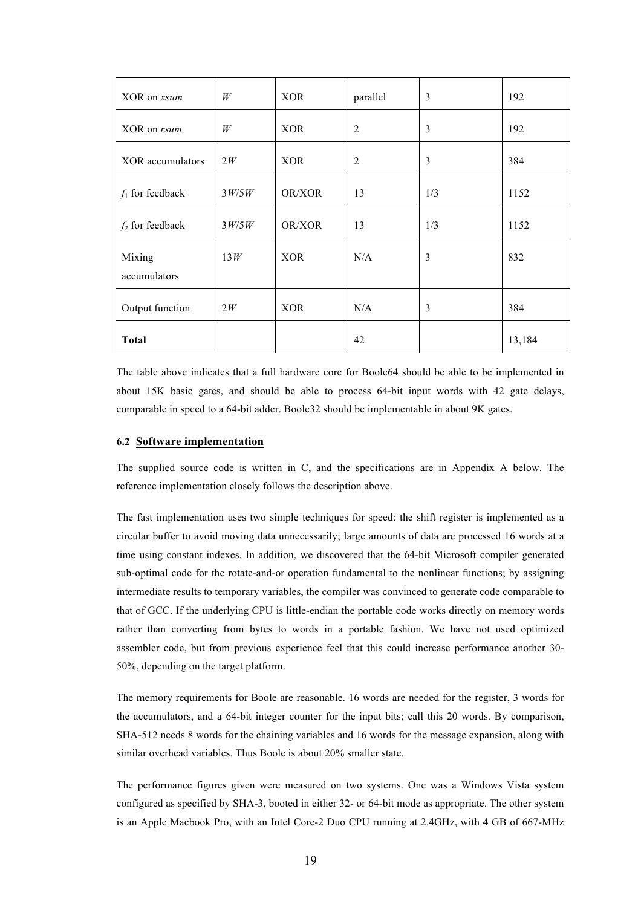| XOR on xsum            | W     | <b>XOR</b> | parallel       | $\overline{3}$ | 192    |
|------------------------|-------|------------|----------------|----------------|--------|
| XOR on <i>rsum</i>     | W     | <b>XOR</b> | $\overline{2}$ | 3              | 192    |
| XOR accumulators       | 2W    | <b>XOR</b> | $\overline{2}$ | 3              | 384    |
| $f_1$ for feedback     | 3W/5W | OR/XOR     | 13             | 1/3            | 1152   |
| $f_2$ for feedback     | 3W/5W | OR/XOR     | 13             | 1/3            | 1152   |
| Mixing<br>accumulators | 13W   | <b>XOR</b> | N/A            | 3              | 832    |
| Output function        | 2W    | <b>XOR</b> | N/A            | 3              | 384    |
| <b>Total</b>           |       |            | 42             |                | 13,184 |

The table above indicates that a full hardware core for Boole64 should be able to be implemented in about 15K basic gates, and should be able to process 64-bit input words with 42 gate delays, comparable in speed to a 64-bit adder. Boole32 should be implementable in about 9K gates.

## **6.2 Software implementation**

The supplied source code is written in C, and the specifications are in Appendix A below. The reference implementation closely follows the description above.

The fast implementation uses two simple techniques for speed: the shift register is implemented as a circular buffer to avoid moving data unnecessarily; large amounts of data are processed 16 words at a time using constant indexes. In addition, we discovered that the 64-bit Microsoft compiler generated sub-optimal code for the rotate-and-or operation fundamental to the nonlinear functions; by assigning intermediate results to temporary variables, the compiler was convinced to generate code comparable to that of GCC. If the underlying CPU is little-endian the portable code works directly on memory words rather than converting from bytes to words in a portable fashion. We have not used optimized assembler code, but from previous experience feel that this could increase performance another 30- 50%, depending on the target platform.

The memory requirements for Boole are reasonable. 16 words are needed for the register, 3 words for the accumulators, and a 64-bit integer counter for the input bits; call this 20 words. By comparison, SHA-512 needs 8 words for the chaining variables and 16 words for the message expansion, along with similar overhead variables. Thus Boole is about 20% smaller state.

The performance figures given were measured on two systems. One was a Windows Vista system configured as specified by SHA-3, booted in either 32- or 64-bit mode as appropriate. The other system is an Apple Macbook Pro, with an Intel Core-2 Duo CPU running at 2.4GHz, with 4 GB of 667-MHz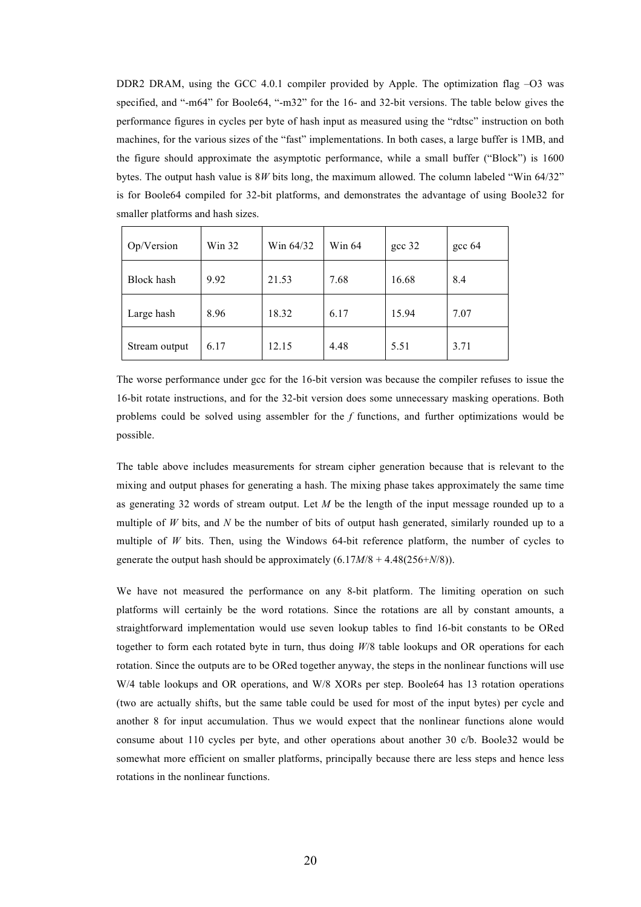DDR2 DRAM, using the GCC 4.0.1 compiler provided by Apple. The optimization flag –O3 was specified, and "-m64" for Boole64, "-m32" for the 16- and 32-bit versions. The table below gives the performance figures in cycles per byte of hash input as measured using the "rdtsc" instruction on both machines, for the various sizes of the "fast" implementations. In both cases, a large buffer is 1MB, and the figure should approximate the asymptotic performance, while a small buffer ("Block") is 1600 bytes. The output hash value is 8*W* bits long, the maximum allowed. The column labeled "Win 64/32" is for Boole64 compiled for 32-bit platforms, and demonstrates the advantage of using Boole32 for smaller platforms and hash sizes.

| Op/Version    | Win $32$ | Win 64/32 | Win 64 | gcc 32 | $\csc 64$ |
|---------------|----------|-----------|--------|--------|-----------|
| Block hash    | 9.92     | 21.53     | 7.68   | 16.68  | 8.4       |
| Large hash    | 8.96     | 18.32     | 6.17   | 15.94  | 7.07      |
| Stream output | 6.17     | 12.15     | 4.48   | 5.51   | 3.71      |

The worse performance under gcc for the 16-bit version was because the compiler refuses to issue the 16-bit rotate instructions, and for the 32-bit version does some unnecessary masking operations. Both problems could be solved using assembler for the *f* functions, and further optimizations would be possible.

The table above includes measurements for stream cipher generation because that is relevant to the mixing and output phases for generating a hash. The mixing phase takes approximately the same time as generating 32 words of stream output. Let *M* be the length of the input message rounded up to a multiple of *W* bits, and *N* be the number of bits of output hash generated, similarly rounded up to a multiple of *W* bits. Then, using the Windows 64-bit reference platform, the number of cycles to generate the output hash should be approximately (6.17*M*/8 + 4.48(256+*N*/8)).

We have not measured the performance on any 8-bit platform. The limiting operation on such platforms will certainly be the word rotations. Since the rotations are all by constant amounts, a straightforward implementation would use seven lookup tables to find 16-bit constants to be ORed together to form each rotated byte in turn, thus doing *W*/8 table lookups and OR operations for each rotation. Since the outputs are to be ORed together anyway, the steps in the nonlinear functions will use W/4 table lookups and OR operations, and W/8 XORs per step. Boole64 has 13 rotation operations (two are actually shifts, but the same table could be used for most of the input bytes) per cycle and another 8 for input accumulation. Thus we would expect that the nonlinear functions alone would consume about 110 cycles per byte, and other operations about another 30 c/b. Boole32 would be somewhat more efficient on smaller platforms, principally because there are less steps and hence less rotations in the nonlinear functions.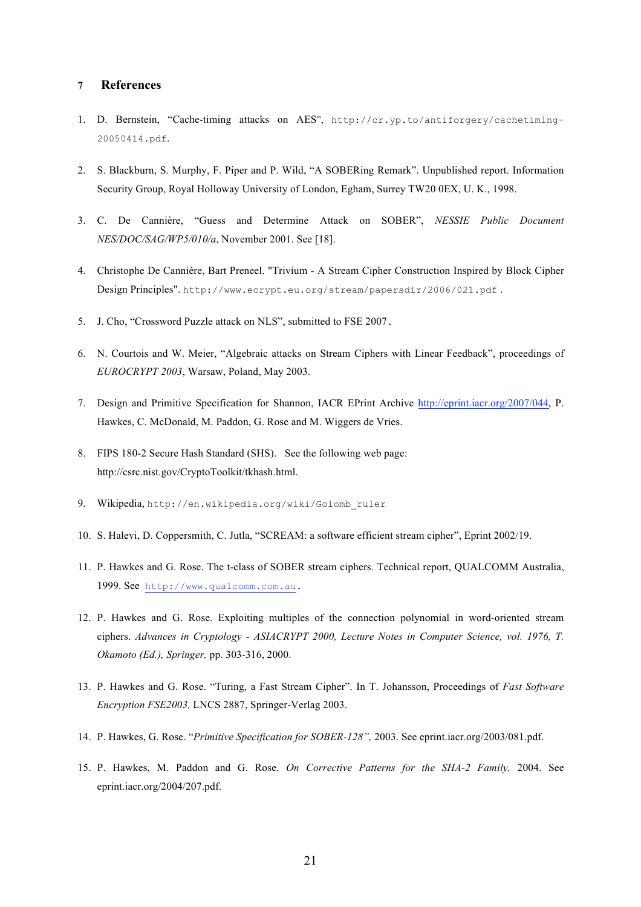# **7 References**

- 1. D. Bernstein, "Cache-timing attacks on AES", http://cr.yp.to/antiforgery/cachetiming-20050414.pdf.
- 2. S. Blackburn, S. Murphy, F. Piper and P. Wild, "A SOBERing Remark". Unpublished report. Information Security Group, Royal Holloway University of London, Egham, Surrey TW20 0EX, U. K., 1998.
- 3. C. De Cannière, "Guess and Determine Attack on SOBER", *NESSIE Public Document NES/DOC/SAG/WP5/010/a*, November 2001. See [18].
- 4. Christophe De Cannière, Bart Preneel. "Trivium A Stream Cipher Construction Inspired by Block Cipher Design Principles". http://www.ecrypt.eu.org/stream/papersdir/2006/021.pdf .
- 5. J. Cho, "Crossword Puzzle attack on NLS", submitted to FSE 2007.
- 6. N. Courtois and W. Meier, "Algebraic attacks on Stream Ciphers with Linear Feedback", proceedings of *EUROCRYPT 2003*, Warsaw, Poland, May 2003.
- 7. Design and Primitive Specification for Shannon, IACR EPrint Archive http://eprint.iacr.org/2007/044, P. Hawkes, C. McDonald, M. Paddon, G. Rose and M. Wiggers de Vries.
- 8. FIPS 180-2 Secure Hash Standard (SHS). See the following web page: http://csrc.nist.gov/CryptoToolkit/tkhash.html.
- 9. Wikipedia, http://en.wikipedia.org/wiki/Golomb\_ruler
- 10. S. Halevi, D. Coppersmith, C. Jutla, "SCREAM: a software efficient stream cipher", Eprint 2002/19.
- 11. P. Hawkes and G. Rose. The t-class of SOBER stream ciphers. Technical report, QUALCOMM Australia, 1999. See http://www.qualcomm.com.au.
- 12. P. Hawkes and G. Rose. Exploiting multiples of the connection polynomial in word-oriented stream ciphers. *Advances in Cryptology - ASIACRYPT 2000, Lecture Notes in Computer Science, vol. 1976, T. Okamoto (Ed.), Springer,* pp. 303-316, 2000.
- 13. P. Hawkes and G. Rose. "Turing, a Fast Stream Cipher". In T. Johansson, Proceedings of *Fast Software Encryption FSE2003,* LNCS 2887, Springer-Verlag 2003.
- 14. P. Hawkes, G. Rose. "*Primitive Specification for SOBER-128",* 2003. See eprint.iacr.org/2003/081.pdf.
- 15. P. Hawkes, M. Paddon and G. Rose. *On Corrective Patterns for the SHA-2 Family,* 2004. See eprint.iacr.org/2004/207.pdf.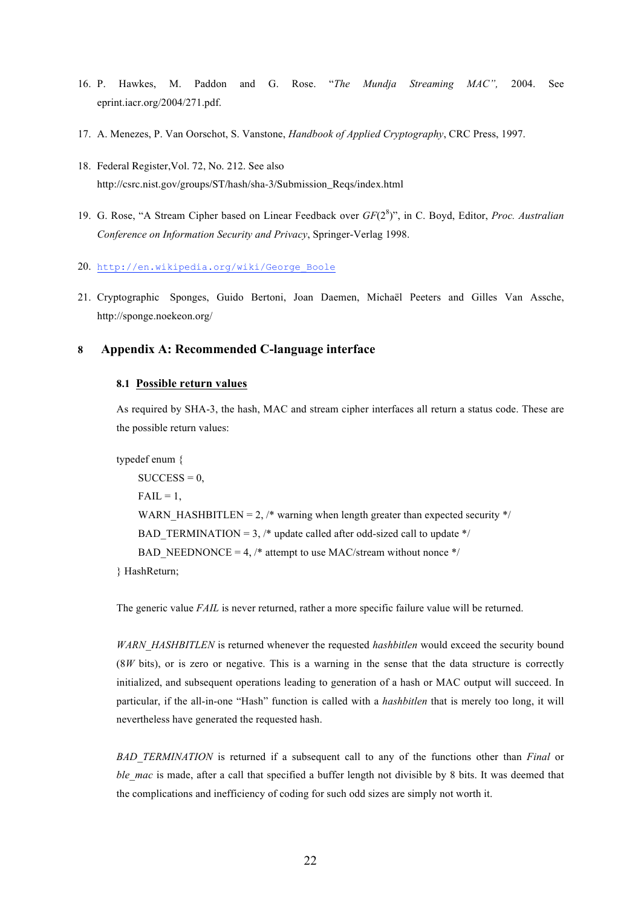- 16. P. Hawkes, M. Paddon and G. Rose. "*The Mundja Streaming MAC",* 2004. See eprint.iacr.org/2004/271.pdf.
- 17. A. Menezes, P. Van Oorschot, S. Vanstone, *Handbook of Applied Cryptography*, CRC Press, 1997.
- 18. Federal Register,Vol. 72, No. 212. See also http://csrc.nist.gov/groups/ST/hash/sha-3/Submission\_Reqs/index.html
- 19. G. Rose, "A Stream Cipher based on Linear Feedback over *GF*(2<sup>8</sup> )", in C. Boyd, Editor, *Proc. Australian Conference on Information Security and Privacy*, Springer-Verlag 1998.

20. http://en.wikipedia.org/wiki/George\_Boole

21. Cryptographic Sponges, Guido Bertoni, Joan Daemen, Michaël Peeters and Gilles Van Assche, http://sponge.noekeon.org/

# **8 Appendix A: Recommended C-language interface**

#### **8.1 Possible return values**

As required by SHA-3, the hash, MAC and stream cipher interfaces all return a status code. These are the possible return values:

typedef enum {

 $SUCCESS = 0$ ,  $FAIL = 1$ , WARN HASHBITLEN = 2,  $\frac{*}{*}$  warning when length greater than expected security  $\frac{*}{*}$ BAD TERMINATION = 3, /\* update called after odd-sized call to update \*/ BAD\_NEEDNONCE = 4,  $/*$  attempt to use MAC/stream without nonce  $*/$ } HashReturn;

The generic value *FAIL* is never returned, rather a more specific failure value will be returned.

*WARN\_HASHBITLEN* is returned whenever the requested *hashbitlen* would exceed the security bound (8*W* bits), or is zero or negative. This is a warning in the sense that the data structure is correctly initialized, and subsequent operations leading to generation of a hash or MAC output will succeed. In particular, if the all-in-one "Hash" function is called with a *hashbitlen* that is merely too long, it will nevertheless have generated the requested hash.

*BAD\_TERMINATION* is returned if a subsequent call to any of the functions other than *Final* or *ble mac* is made, after a call that specified a buffer length not divisible by 8 bits. It was deemed that the complications and inefficiency of coding for such odd sizes are simply not worth it.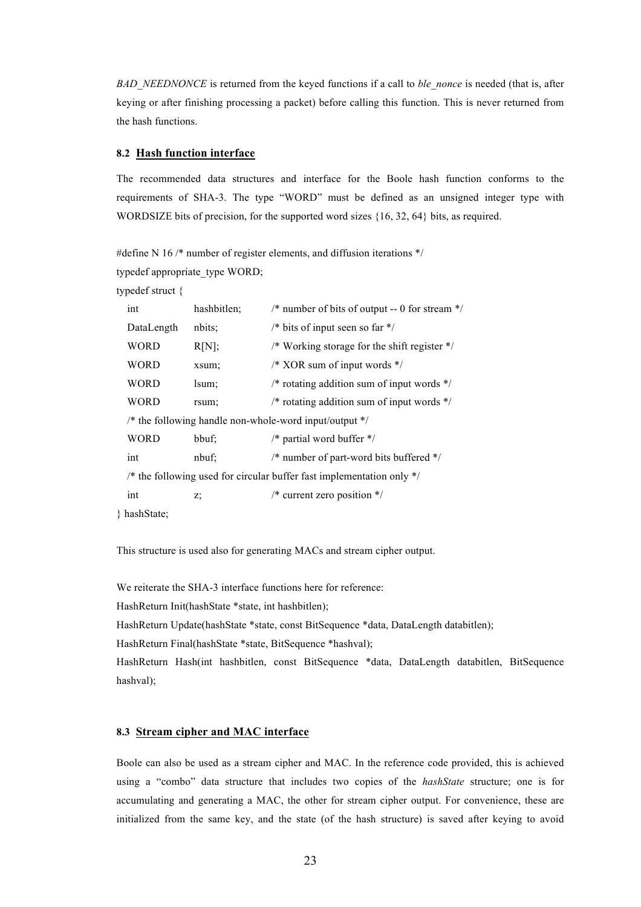*BAD\_NEEDNONCE* is returned from the keyed functions if a call to *ble\_nonce* is needed (that is, after keying or after finishing processing a packet) before calling this function. This is never returned from the hash functions.

# **8.2 Hash function interface**

The recommended data structures and interface for the Boole hash function conforms to the requirements of SHA-3. The type "WORD" must be defined as an unsigned integer type with WORDSIZE bits of precision, for the supported word sizes {16, 32, 64} bits, as required.

#define N 16 /\* number of register elements, and diffusion iterations \*/ typedef appropriate\_type WORD;

typedef struct {

 $\}$ 

| int                                                      | hashbitlen; | /* number of bits of output -- 0 for stream $*/$                        |  |  |
|----------------------------------------------------------|-------------|-------------------------------------------------------------------------|--|--|
| DataLength                                               | nbits:      | /* bits of input seen so far $*/$                                       |  |  |
| <b>WORD</b>                                              | R[N];       | /* Working storage for the shift register */                            |  |  |
| <b>WORD</b>                                              | xsum;       | $\frac{*}{*}$ XOR sum of input words $\frac{*}{*}$                      |  |  |
| <b>WORD</b>                                              | lsum;       | /* rotating addition sum of input words $*/$                            |  |  |
| <b>WORD</b>                                              | rsum;       | /* rotating addition sum of input words $*/$                            |  |  |
| /* the following handle non-whole-word input/output $*/$ |             |                                                                         |  |  |
| <b>WORD</b>                                              | bbuf;       | /* partial word buffer $*/$                                             |  |  |
| int                                                      | nbuf;       | $/*$ number of part-word bits buffered $*/$                             |  |  |
|                                                          |             | /* the following used for circular buffer fast implementation only $*/$ |  |  |
| int                                                      | z.          | $/*$ current zero position $*/$                                         |  |  |
| hashState:                                               |             |                                                                         |  |  |

This structure is used also for generating MACs and stream cipher output.

We reiterate the SHA-3 interface functions here for reference:

HashReturn Init(hashState \*state, int hashbitlen);

HashReturn Update(hashState \*state, const BitSequence \*data, DataLength databitlen);

HashReturn Final(hashState \*state, BitSequence \*hashval);

HashReturn Hash(int hashbitlen, const BitSequence \*data, DataLength databitlen, BitSequence hashval);

# **8.3 Stream cipher and MAC interface**

Boole can also be used as a stream cipher and MAC. In the reference code provided, this is achieved using a "combo" data structure that includes two copies of the *hashState* structure; one is for accumulating and generating a MAC, the other for stream cipher output. For convenience, these are initialized from the same key, and the state (of the hash structure) is saved after keying to avoid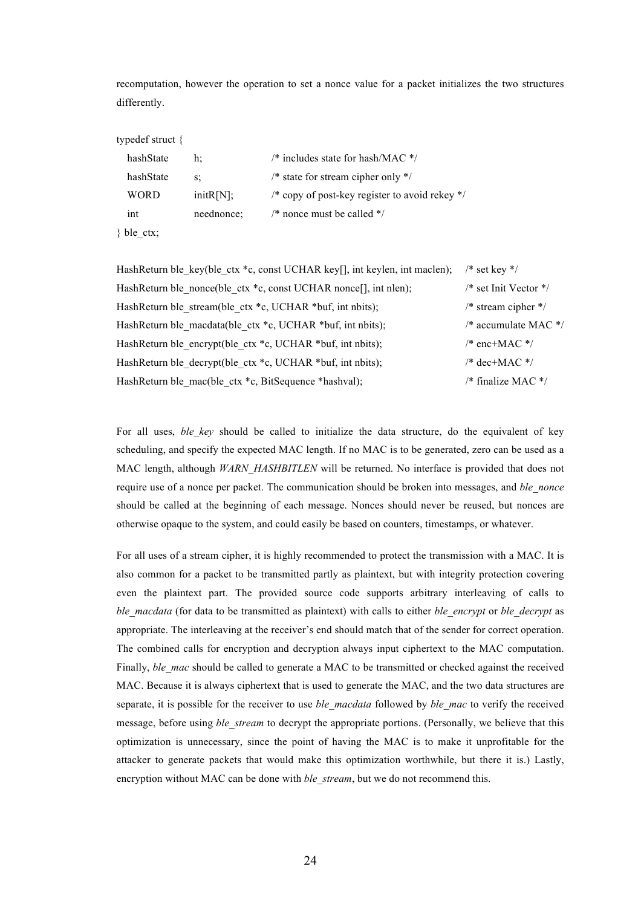recomputation, however the operation to set a nonce value for a packet initializes the two structures differently.

#### typedef struct {

| hashState     | h٠         | /* includes state for hash/MAC $*/$                       |
|---------------|------------|-----------------------------------------------------------|
| hashState     | S.         | $/*$ state for stream cipher only $*/$                    |
| WORD          | initR[N];  | /* copy of post-key register to avoid rekey $\frac{*}{ }$ |
| int           | neednonce: | $\frac{*}{*}$ nonce must be called $\frac{*}{*}$          |
| $\}$ ble ctx; |            |                                                           |

HashReturn ble key(ble ctx \*c, const UCHAR key[], int keylen, int maclen); /\* set key \*/ HashReturn ble\_nonce(ble\_ctx \*c, const UCHAR nonce[], int nlen); /\* set Init Vector \*/ HashReturn ble stream(ble ctx \*c, UCHAR \*buf, int nbits); /\* stream cipher \*/ HashReturn ble macdata(ble ctx \*c, UCHAR \*buf, int nbits);  $\frac{\partial^2 u}{\partial x^2}$  /\* accumulate MAC \*/ HashReturn ble encrypt(ble ctx \*c, UCHAR \*buf, int nbits); /\* enc+MAC \*/ HashReturn ble\_decrypt(ble\_ctx \*c, UCHAR \*buf, int nbits);  $/$  /\* dec+MAC \*/ HashReturn ble mac(ble ctx \*c, BitSequence \*hashval); /\* finalize MAC \*/

For all uses, *ble key* should be called to initialize the data structure, do the equivalent of key scheduling, and specify the expected MAC length. If no MAC is to be generated, zero can be used as a MAC length, although *WARN\_HASHBITLEN* will be returned. No interface is provided that does not require use of a nonce per packet. The communication should be broken into messages, and *ble\_nonce* should be called at the beginning of each message. Nonces should never be reused, but nonces are otherwise opaque to the system, and could easily be based on counters, timestamps, or whatever.

For all uses of a stream cipher, it is highly recommended to protect the transmission with a MAC. It is also common for a packet to be transmitted partly as plaintext, but with integrity protection covering even the plaintext part. The provided source code supports arbitrary interleaving of calls to *ble\_macdata* (for data to be transmitted as plaintext) with calls to either *ble\_encrypt* or *ble\_decrypt* as appropriate. The interleaving at the receiver's end should match that of the sender for correct operation. The combined calls for encryption and decryption always input ciphertext to the MAC computation. Finally, *ble mac* should be called to generate a MAC to be transmitted or checked against the received MAC. Because it is always ciphertext that is used to generate the MAC, and the two data structures are separate, it is possible for the receiver to use *ble\_macdata* followed by *ble\_mac* to verify the received message, before using *ble stream* to decrypt the appropriate portions. (Personally, we believe that this optimization is unnecessary, since the point of having the MAC is to make it unprofitable for the attacker to generate packets that would make this optimization worthwhile, but there it is.) Lastly, encryption without MAC can be done with *ble\_stream*, but we do not recommend this.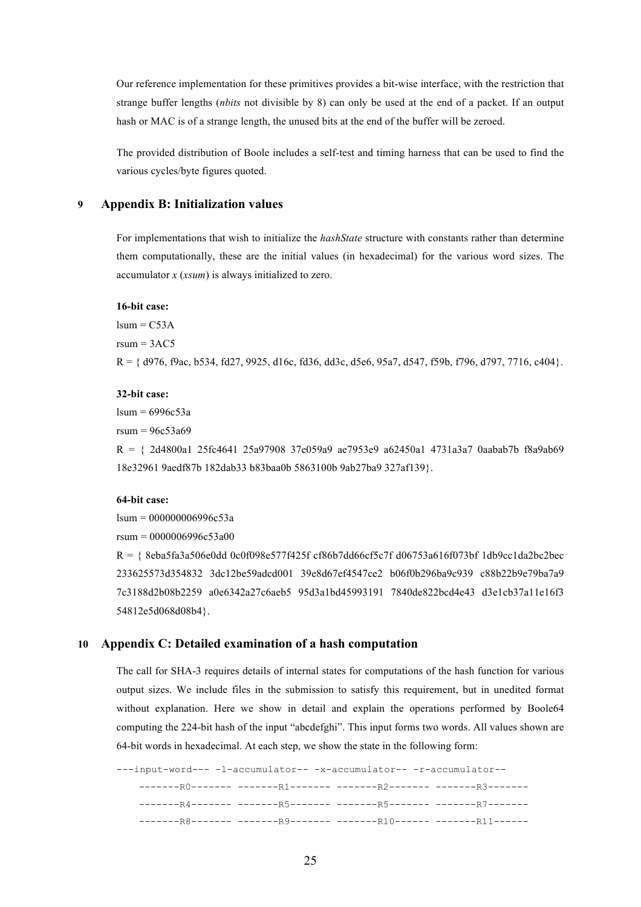Our reference implementation for these primitives provides a bit-wise interface, with the restriction that strange buffer lengths (*nbits* not divisible by 8) can only be used at the end of a packet. If an output hash or MAC is of a strange length, the unused bits at the end of the buffer will be zeroed.

The provided distribution of Boole includes a self-test and timing harness that can be used to find the various cycles/byte figures quoted.

# **9 Appendix B: Initialization values**

For implementations that wish to initialize the *hashState* structure with constants rather than determine them computationally, these are the initial values (in hexadecimal) for the various word sizes. The accumulator *x* (*xsum*) is always initialized to zero.

#### **16-bit case:**

 $lsum = C53A$  $rsum = 3AC5$  $R = \{ d976, f9ac, b534, f27, 9925, d16c, f236, d32c, d566, 95a7, d547, f59b, f796, d797, 7716, c404 \}.$ 

#### **32-bit case:**

 $lsum = 6996c53a$ 

rsum = 96c53a69

R = { 2d4800a1 25fc4641 25a97908 37e059a9 ae7953e9 a62450a1 4731a3a7 0aabab7b f8a9ab69 18e32961 9aedf87b 182dab33 b83baa0b 5863100b 9ab27ba9 327af139}.

#### **64-bit case:**

 $lsum = 000000006996c53a$ 

rsum = 0000006996c53a00

R = { 8eba5fa3a506e0dd 0c0f098e577f425f cf86b7dd66cf5c7f d06753a616f073bf 1db9cc1da2bc2bec 233625573d354832 3dc12be59adcd001 39e8d67ef4547ce2 b06f0b296ba9c939 c88b22b9e79ba7a9 7c3188d2b08b2259 a0e6342a27c6aeb5 95d3a1bd45993191 7840de822bcd4e43 d3e1cb37a11e16f3 54812e5d068d08b4}.

### **10 Appendix C: Detailed examination of a hash computation**

The call for SHA-3 requires details of internal states for computations of the hash function for various output sizes. We include files in the submission to satisfy this requirement, but in unedited format without explanation. Here we show in detail and explain the operations performed by Boole64 computing the 224-bit hash of the input "abcdefghi". This input forms two words. All values shown are 64-bit words in hexadecimal. At each step, we show the state in the following form:

---input-word--- -l-accumulator-- -x-accumulator-- -r-accumulator-- -------R0------- -------R1------- -------R2------- -------R3------- -------R4------- -------R5------- -------R5------- -------R7------- -------R8------- -------R9------- -------R10------ -------R11------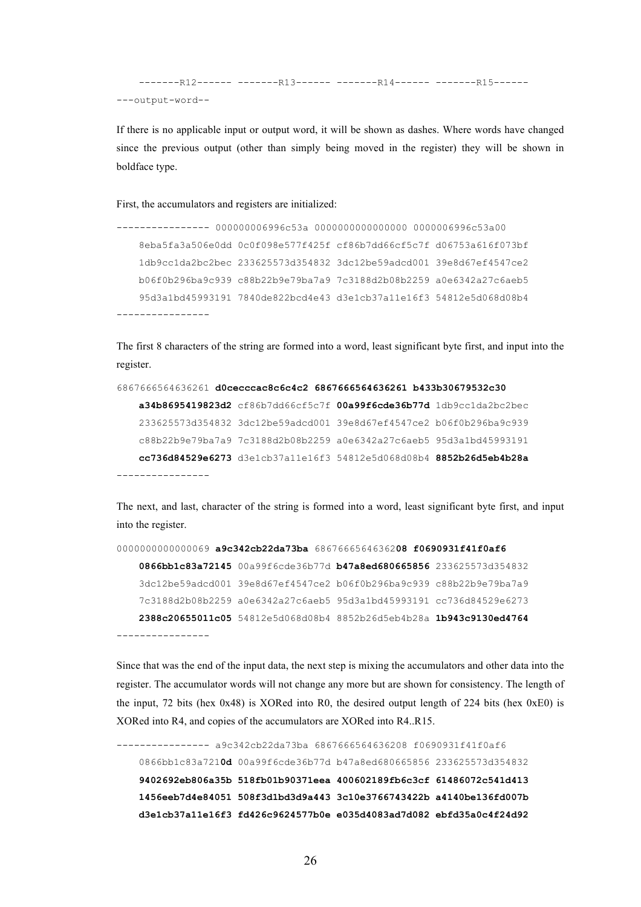```
--------R12------ --------R13------ ---------R14------ ----------R15------
---output-word--
```
If there is no applicable input or output word, it will be shown as dashes. Where words have changed since the previous output (other than simply being moved in the register) they will be shown in boldface type.

First, the accumulators and registers are initialized:

```
---------------- 000000006996c53a 0000000000000000 0000006996c53a00
   8eba5fa3a506e0dd 0c0f098e577f425f cf86b7dd66cf5c7f d06753a616f073bf
   1db9cc1da2bc2bec 233625573d354832 3dc12be59adcd001 39e8d67ef4547ce2
   b06f0b296ba9c939 c88b22b9e79ba7a9 7c3188d2b08b2259 a0e6342a27c6aeb5
   95d3a1bd45993191 7840de822bcd4e43 d3e1cb37a11e16f3 54812e5d068d08b4
----------------
```
The first 8 characters of the string are formed into a word, least significant byte first, and input into the register.

```
6867666564636261 d0cecccac8c6c4c2 6867666564636261 b433b30679532c30
   a34b8695419823d2 cf86b7dd66cf5c7f 00a99f6cde36b77d 1db9cc1da2bc2bec
   233625573d354832 3dc12be59adcd001 39e8d67ef4547ce2 b06f0b296ba9c939
   c88b22b9e79ba7a9 7c3188d2b08b2259 a0e6342a27c6aeb5 95d3a1bd45993191
   cc736d84529e6273 d3e1cb37a11e16f3 54812e5d068d08b4 8852b26d5eb4b28a
```
The next, and last, character of the string is formed into a word, least significant byte first, and input into the register.

```
0000000000000069 a9c342cb22da73ba 6867666564636208 f0690931f41f0af6
   0866bb1c83a72145 00a99f6cde36b77d b47a8ed680665856 233625573d354832
   3dc12be59adcd001 39e8d67ef4547ce2 b06f0b296ba9c939 c88b22b9e79ba7a9
   7c3188d2b08b2259 a0e6342a27c6aeb5 95d3a1bd45993191 cc736d84529e6273
   2388c20655011c05 54812e5d068d08b4 8852b26d5eb4b28a 1b943c9130ed4764
----------------
```
Since that was the end of the input data, the next step is mixing the accumulators and other data into the register. The accumulator words will not change any more but are shown for consistency. The length of the input, 72 bits (hex 0x48) is XORed into R0, the desired output length of 224 bits (hex 0xE0) is XORed into R4, and copies of the accumulators are XORed into R4..R15.

```
---------------- a9c342cb22da73ba 6867666564636208 f0690931f41f0af6
0866bb1c83a7210d 00a99f6cde36b77d b47a8ed680665856 233625573d354832
9402692eb806a35b 518fb01b90371eea 400602189fb6c3cf 61486072c541d413
1456eeb7d4e84051 508f3d1bd3d9a443 3c10e3766743422b a4140be136fd007b
d3e1cb37a11e16f3 fd426c9624577b0e e035d4083ad7d082 ebfd35a0c4f24d92
```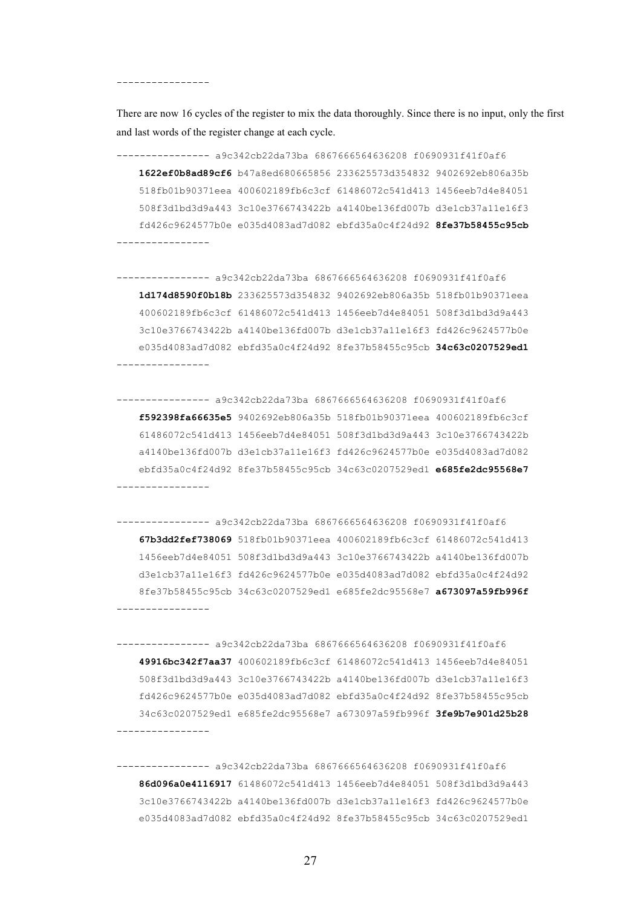----------------

There are now 16 cycles of the register to mix the data thoroughly. Since there is no input, only the first and last words of the register change at each cycle.

---------------- a9c342cb22da73ba 6867666564636208 f0690931f41f0af6 **1622ef0b8ad89cf6** b47a8ed680665856 233625573d354832 9402692eb806a35b 518fb01b90371eea 400602189fb6c3cf 61486072c541d413 1456eeb7d4e84051 508f3d1bd3d9a443 3c10e3766743422b a4140be136fd007b d3e1cb37a11e16f3 fd426c9624577b0e e035d4083ad7d082 ebfd35a0c4f24d92 **8fe37b58455c95cb** ----------------

---------------- a9c342cb22da73ba 6867666564636208 f0690931f41f0af6 **1d174d8590f0b18b** 233625573d354832 9402692eb806a35b 518fb01b90371eea 400602189fb6c3cf 61486072c541d413 1456eeb7d4e84051 508f3d1bd3d9a443 3c10e3766743422b a4140be136fd007b d3e1cb37a11e16f3 fd426c9624577b0e e035d4083ad7d082 ebfd35a0c4f24d92 8fe37b58455c95cb **34c63c0207529ed1** ----------------

---------------- a9c342cb22da73ba 6867666564636208 f0690931f41f0af6 **f592398fa66635e5** 9402692eb806a35b 518fb01b90371eea 400602189fb6c3cf 61486072c541d413 1456eeb7d4e84051 508f3d1bd3d9a443 3c10e3766743422b a4140be136fd007b d3e1cb37a11e16f3 fd426c9624577b0e e035d4083ad7d082 ebfd35a0c4f24d92 8fe37b58455c95cb 34c63c0207529ed1 **e685fe2dc95568e7** ----------------

---------------- a9c342cb22da73ba 6867666564636208 f0690931f41f0af6 **67b3dd2fef738069** 518fb01b90371eea 400602189fb6c3cf 61486072c541d413 1456eeb7d4e84051 508f3d1bd3d9a443 3c10e3766743422b a4140be136fd007b d3e1cb37a11e16f3 fd426c9624577b0e e035d4083ad7d082 ebfd35a0c4f24d92 8fe37b58455c95cb 34c63c0207529ed1 e685fe2dc95568e7 **a673097a59fb996f** ----------------

---------------- a9c342cb22da73ba 6867666564636208 f0690931f41f0af6 **49916bc342f7aa37** 400602189fb6c3cf 61486072c541d413 1456eeb7d4e84051 508f3d1bd3d9a443 3c10e3766743422b a4140be136fd007b d3e1cb37a11e16f3 fd426c9624577b0e e035d4083ad7d082 ebfd35a0c4f24d92 8fe37b58455c95cb 34c63c0207529ed1 e685fe2dc95568e7 a673097a59fb996f **3fe9b7e901d25b28** ----------------

---------------- a9c342cb22da73ba 6867666564636208 f0690931f41f0af6 **86d096a0e4116917** 61486072c541d413 1456eeb7d4e84051 508f3d1bd3d9a443 3c10e3766743422b a4140be136fd007b d3e1cb37a11e16f3 fd426c9624577b0e e035d4083ad7d082 ebfd35a0c4f24d92 8fe37b58455c95cb 34c63c0207529ed1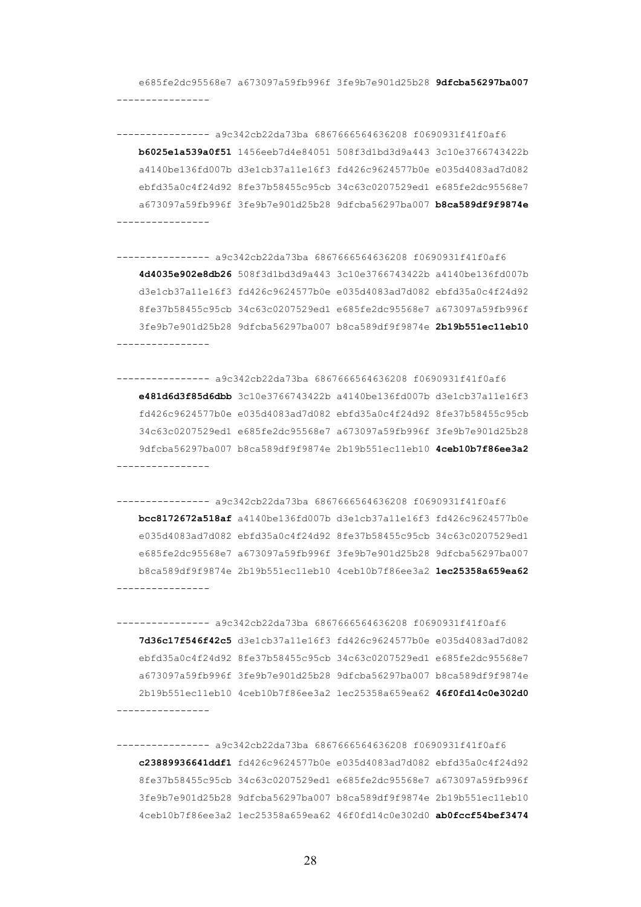e685fe2dc95568e7 a673097a59fb996f 3fe9b7e901d25b28 **9dfcba56297ba007** ----------------

---------------- a9c342cb22da73ba 6867666564636208 f0690931f41f0af6 **b6025e1a539a0f51** 1456eeb7d4e84051 508f3d1bd3d9a443 3c10e3766743422b a4140be136fd007b d3e1cb37a11e16f3 fd426c9624577b0e e035d4083ad7d082 ebfd35a0c4f24d92 8fe37b58455c95cb 34c63c0207529ed1 e685fe2dc95568e7 a673097a59fb996f 3fe9b7e901d25b28 9dfcba56297ba007 **b8ca589df9f9874e** ----------------

---------------- a9c342cb22da73ba 6867666564636208 f0690931f41f0af6 **4d4035e902e8db26** 508f3d1bd3d9a443 3c10e3766743422b a4140be136fd007b d3e1cb37a11e16f3 fd426c9624577b0e e035d4083ad7d082 ebfd35a0c4f24d92 8fe37b58455c95cb 34c63c0207529ed1 e685fe2dc95568e7 a673097a59fb996f 3fe9b7e901d25b28 9dfcba56297ba007 b8ca589df9f9874e **2b19b551ec11eb10** ----------------

---------------- a9c342cb22da73ba 6867666564636208 f0690931f41f0af6 **e481d6d3f85d6dbb** 3c10e3766743422b a4140be136fd007b d3e1cb37a11e16f3 fd426c9624577b0e e035d4083ad7d082 ebfd35a0c4f24d92 8fe37b58455c95cb 34c63c0207529ed1 e685fe2dc95568e7 a673097a59fb996f 3fe9b7e901d25b28 9dfcba56297ba007 b8ca589df9f9874e 2b19b551ec11eb10 **4ceb10b7f86ee3a2** ----------------

---------------- a9c342cb22da73ba 6867666564636208 f0690931f41f0af6 **bcc8172672a518af** a4140be136fd007b d3e1cb37a11e16f3 fd426c9624577b0e e035d4083ad7d082 ebfd35a0c4f24d92 8fe37b58455c95cb 34c63c0207529ed1 e685fe2dc95568e7 a673097a59fb996f 3fe9b7e901d25b28 9dfcba56297ba007 b8ca589df9f9874e 2b19b551ec11eb10 4ceb10b7f86ee3a2 **1ec25358a659ea62** ----------------

---------------- a9c342cb22da73ba 6867666564636208 f0690931f41f0af6 **7d36c17f546f42c5** d3e1cb37a11e16f3 fd426c9624577b0e e035d4083ad7d082 ebfd35a0c4f24d92 8fe37b58455c95cb 34c63c0207529ed1 e685fe2dc95568e7 a673097a59fb996f 3fe9b7e901d25b28 9dfcba56297ba007 b8ca589df9f9874e 2b19b551ec11eb10 4ceb10b7f86ee3a2 1ec25358a659ea62 **46f0fd14c0e302d0** ----------------

---------------- a9c342cb22da73ba 6867666564636208 f0690931f41f0af6 **c23889936641ddf1** fd426c9624577b0e e035d4083ad7d082 ebfd35a0c4f24d92 8fe37b58455c95cb 34c63c0207529ed1 e685fe2dc95568e7 a673097a59fb996f 3fe9b7e901d25b28 9dfcba56297ba007 b8ca589df9f9874e 2b19b551ec11eb10 4ceb10b7f86ee3a2 1ec25358a659ea62 46f0fd14c0e302d0 **ab0fccf54bef3474**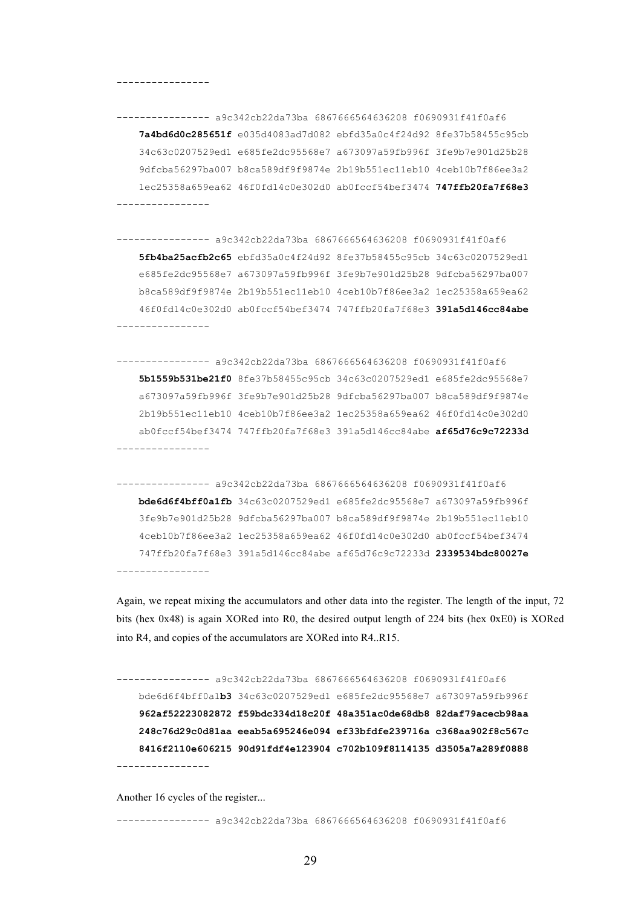#### ----------------

---------------- a9c342cb22da73ba 6867666564636208 f0690931f41f0af6 **7a4bd6d0c285651f** e035d4083ad7d082 ebfd35a0c4f24d92 8fe37b58455c95cb 34c63c0207529ed1 e685fe2dc95568e7 a673097a59fb996f 3fe9b7e901d25b28 9dfcba56297ba007 b8ca589df9f9874e 2b19b551ec11eb10 4ceb10b7f86ee3a2 1ec25358a659ea62 46f0fd14c0e302d0 ab0fccf54bef3474 **747ffb20fa7f68e3** ----------------

---------------- a9c342cb22da73ba 6867666564636208 f0690931f41f0af6 **5fb4ba25acfb2c65** ebfd35a0c4f24d92 8fe37b58455c95cb 34c63c0207529ed1 e685fe2dc95568e7 a673097a59fb996f 3fe9b7e901d25b28 9dfcba56297ba007 b8ca589df9f9874e 2b19b551ec11eb10 4ceb10b7f86ee3a2 1ec25358a659ea62 46f0fd14c0e302d0 ab0fccf54bef3474 747ffb20fa7f68e3 **391a5d146cc84abe** ----------------

---------------- a9c342cb22da73ba 6867666564636208 f0690931f41f0af6 **5b1559b531be21f0** 8fe37b58455c95cb 34c63c0207529ed1 e685fe2dc95568e7 a673097a59fb996f 3fe9b7e901d25b28 9dfcba56297ba007 b8ca589df9f9874e 2b19b551ec11eb10 4ceb10b7f86ee3a2 1ec25358a659ea62 46f0fd14c0e302d0 ab0fccf54bef3474 747ffb20fa7f68e3 391a5d146cc84abe **af65d76c9c72233d** ----------------

---------------- a9c342cb22da73ba 6867666564636208 f0690931f41f0af6 **bde6d6f4bff0a1fb** 34c63c0207529ed1 e685fe2dc95568e7 a673097a59fb996f 3fe9b7e901d25b28 9dfcba56297ba007 b8ca589df9f9874e 2b19b551ec11eb10 4ceb10b7f86ee3a2 1ec25358a659ea62 46f0fd14c0e302d0 ab0fccf54bef3474 747ffb20fa7f68e3 391a5d146cc84abe af65d76c9c72233d **2339534bdc80027e** ----------------

Again, we repeat mixing the accumulators and other data into the register. The length of the input, 72 bits (hex 0x48) is again XORed into R0, the desired output length of 224 bits (hex 0xE0) is XORed into R4, and copies of the accumulators are XORed into R4..R15.

---------------- a9c342cb22da73ba 6867666564636208 f0690931f41f0af6 bde6d6f4bff0a1**b3** 34c63c0207529ed1 e685fe2dc95568e7 a673097a59fb996f **962af52223082872 f59bdc334d18c20f 48a351ac0de68db8 82daf79acecb98aa 248c76d29c0d81aa eeab5a695246e094 ef33bfdfe239716a c368aa902f8c567c 8416f2110e606215 90d91fdf4e123904 c702b109f8114135 d3505a7a289f0888** ----------------

Another 16 cycles of the register...

---------------- a9c342cb22da73ba 6867666564636208 f0690931f41f0af6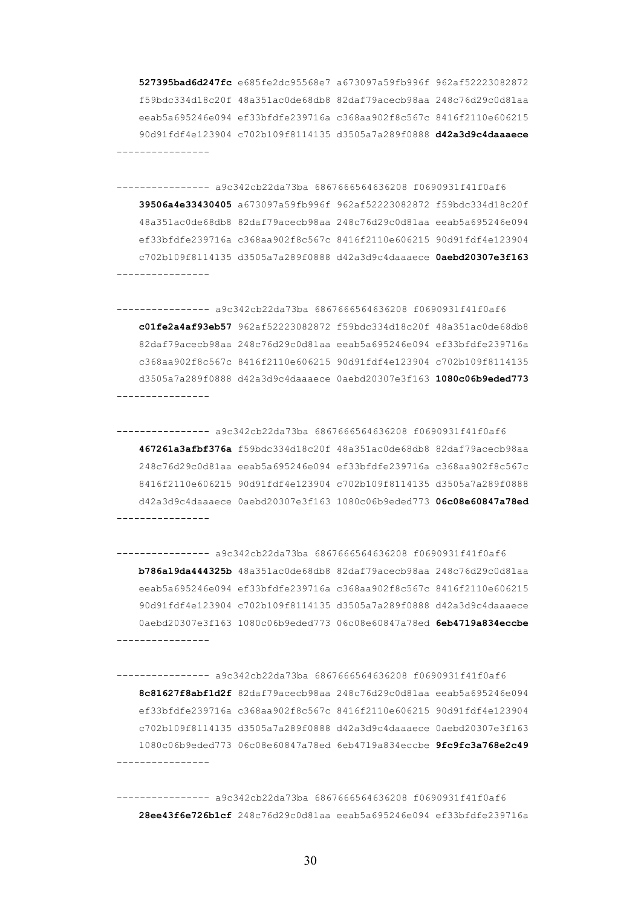**527395bad6d247fc** e685fe2dc95568e7 a673097a59fb996f 962af52223082872 f59bdc334d18c20f 48a351ac0de68db8 82daf79acecb98aa 248c76d29c0d81aa eeab5a695246e094 ef33bfdfe239716a c368aa902f8c567c 8416f2110e606215 90d91fdf4e123904 c702b109f8114135 d3505a7a289f0888 **d42a3d9c4daaaece** ----------------

---------------- a9c342cb22da73ba 6867666564636208 f0690931f41f0af6 **39506a4e33430405** a673097a59fb996f 962af52223082872 f59bdc334d18c20f 48a351ac0de68db8 82daf79acecb98aa 248c76d29c0d81aa eeab5a695246e094 ef33bfdfe239716a c368aa902f8c567c 8416f2110e606215 90d91fdf4e123904 c702b109f8114135 d3505a7a289f0888 d42a3d9c4daaaece **0aebd20307e3f163** ----------------

---------------- a9c342cb22da73ba 6867666564636208 f0690931f41f0af6 **c01fe2a4af93eb57** 962af52223082872 f59bdc334d18c20f 48a351ac0de68db8 82daf79acecb98aa 248c76d29c0d81aa eeab5a695246e094 ef33bfdfe239716a c368aa902f8c567c 8416f2110e606215 90d91fdf4e123904 c702b109f8114135 d3505a7a289f0888 d42a3d9c4daaaece 0aebd20307e3f163 **1080c06b9eded773** ----------------

---------------- a9c342cb22da73ba 6867666564636208 f0690931f41f0af6 **467261a3afbf376a** f59bdc334d18c20f 48a351ac0de68db8 82daf79acecb98aa 248c76d29c0d81aa eeab5a695246e094 ef33bfdfe239716a c368aa902f8c567c 8416f2110e606215 90d91fdf4e123904 c702b109f8114135 d3505a7a289f0888 d42a3d9c4daaaece 0aebd20307e3f163 1080c06b9eded773 **06c08e60847a78ed** ----------------

---------------- a9c342cb22da73ba 6867666564636208 f0690931f41f0af6 **b786a19da444325b** 48a351ac0de68db8 82daf79acecb98aa 248c76d29c0d81aa eeab5a695246e094 ef33bfdfe239716a c368aa902f8c567c 8416f2110e606215 90d91fdf4e123904 c702b109f8114135 d3505a7a289f0888 d42a3d9c4daaaece 0aebd20307e3f163 1080c06b9eded773 06c08e60847a78ed **6eb4719a834eccbe** ----------------

---------------- a9c342cb22da73ba 6867666564636208 f0690931f41f0af6 **8c81627f8abf1d2f** 82daf79acecb98aa 248c76d29c0d81aa eeab5a695246e094 ef33bfdfe239716a c368aa902f8c567c 8416f2110e606215 90d91fdf4e123904 c702b109f8114135 d3505a7a289f0888 d42a3d9c4daaaece 0aebd20307e3f163 1080c06b9eded773 06c08e60847a78ed 6eb4719a834eccbe **9fc9fc3a768e2c49** ----------------

---------------- a9c342cb22da73ba 6867666564636208 f0690931f41f0af6 **28ee43f6e726b1cf** 248c76d29c0d81aa eeab5a695246e094 ef33bfdfe239716a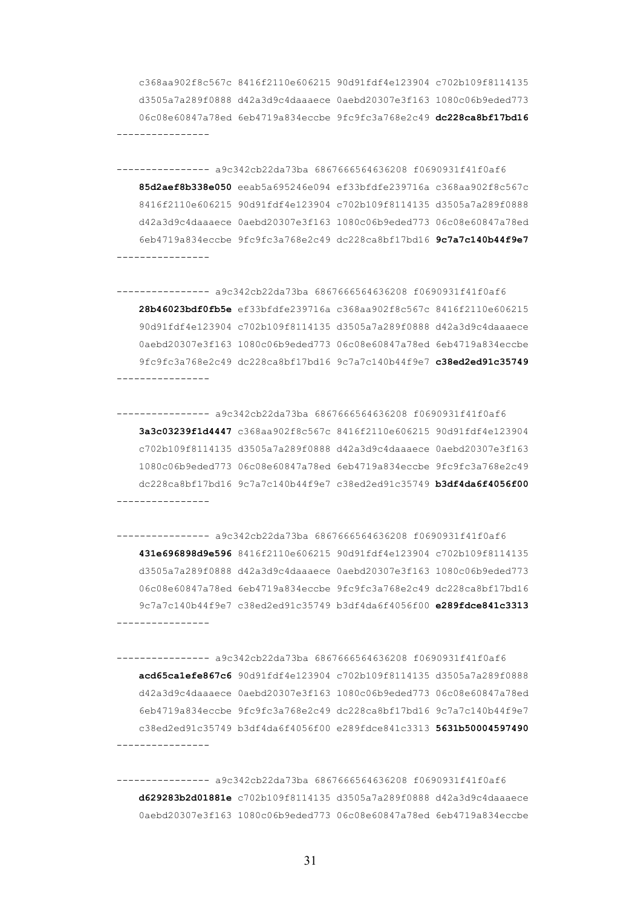c368aa902f8c567c 8416f2110e606215 90d91fdf4e123904 c702b109f8114135 d3505a7a289f0888 d42a3d9c4daaaece 0aebd20307e3f163 1080c06b9eded773 06c08e60847a78ed 6eb4719a834eccbe 9fc9fc3a768e2c49 **dc228ca8bf17bd16** ----------------

---------------- a9c342cb22da73ba 6867666564636208 f0690931f41f0af6 **85d2aef8b338e050** eeab5a695246e094 ef33bfdfe239716a c368aa902f8c567c 8416f2110e606215 90d91fdf4e123904 c702b109f8114135 d3505a7a289f0888 d42a3d9c4daaaece 0aebd20307e3f163 1080c06b9eded773 06c08e60847a78ed 6eb4719a834eccbe 9fc9fc3a768e2c49 dc228ca8bf17bd16 **9c7a7c140b44f9e7** ----------------

---------------- a9c342cb22da73ba 6867666564636208 f0690931f41f0af6 **28b46023bdf0fb5e** ef33bfdfe239716a c368aa902f8c567c 8416f2110e606215 90d91fdf4e123904 c702b109f8114135 d3505a7a289f0888 d42a3d9c4daaaece 0aebd20307e3f163 1080c06b9eded773 06c08e60847a78ed 6eb4719a834eccbe 9fc9fc3a768e2c49 dc228ca8bf17bd16 9c7a7c140b44f9e7 **c38ed2ed91c35749** ----------------

---------------- a9c342cb22da73ba 6867666564636208 f0690931f41f0af6 **3a3c03239f1d4447** c368aa902f8c567c 8416f2110e606215 90d91fdf4e123904 c702b109f8114135 d3505a7a289f0888 d42a3d9c4daaaece 0aebd20307e3f163 1080c06b9eded773 06c08e60847a78ed 6eb4719a834eccbe 9fc9fc3a768e2c49 dc228ca8bf17bd16 9c7a7c140b44f9e7 c38ed2ed91c35749 **b3df4da6f4056f00** ----------------

---------------- a9c342cb22da73ba 6867666564636208 f0690931f41f0af6 **431e696898d9e596** 8416f2110e606215 90d91fdf4e123904 c702b109f8114135 d3505a7a289f0888 d42a3d9c4daaaece 0aebd20307e3f163 1080c06b9eded773 06c08e60847a78ed 6eb4719a834eccbe 9fc9fc3a768e2c49 dc228ca8bf17bd16 9c7a7c140b44f9e7 c38ed2ed91c35749 b3df4da6f4056f00 **e289fdce841c3313** ----------------

---------------- a9c342cb22da73ba 6867666564636208 f0690931f41f0af6 **acd65ca1efe867c6** 90d91fdf4e123904 c702b109f8114135 d3505a7a289f0888 d42a3d9c4daaaece 0aebd20307e3f163 1080c06b9eded773 06c08e60847a78ed 6eb4719a834eccbe 9fc9fc3a768e2c49 dc228ca8bf17bd16 9c7a7c140b44f9e7 c38ed2ed91c35749 b3df4da6f4056f00 e289fdce841c3313 **5631b50004597490** ----------------

---------------- a9c342cb22da73ba 6867666564636208 f0690931f41f0af6 **d629283b2d01881e** c702b109f8114135 d3505a7a289f0888 d42a3d9c4daaaece 0aebd20307e3f163 1080c06b9eded773 06c08e60847a78ed 6eb4719a834eccbe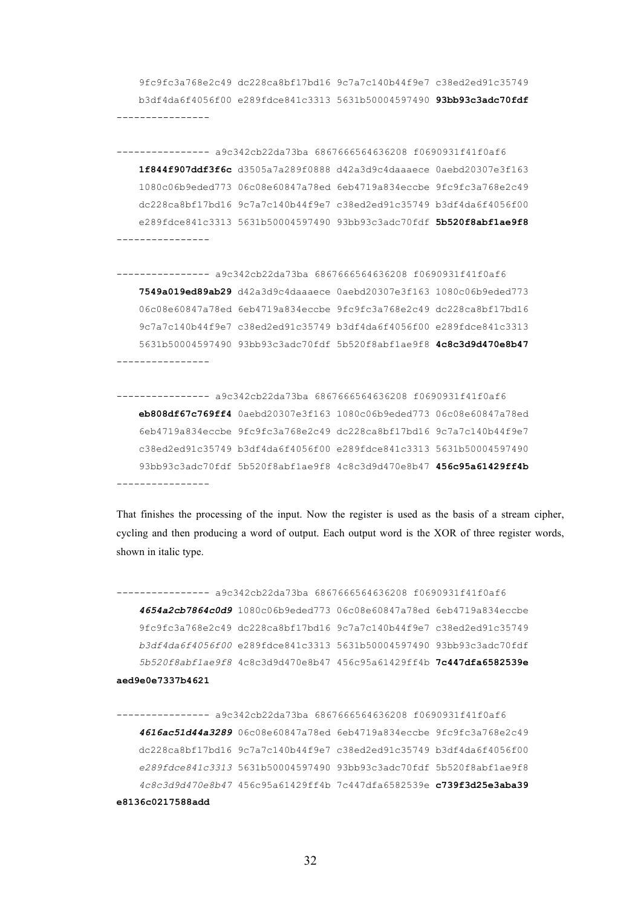9fc9fc3a768e2c49 dc228ca8bf17bd16 9c7a7c140b44f9e7 c38ed2ed91c35749 b3df4da6f4056f00 e289fdce841c3313 5631b50004597490 **93bb93c3adc70fdf**

---------------- a9c342cb22da73ba 6867666564636208 f0690931f41f0af6 **1f844f907ddf3f6c** d3505a7a289f0888 d42a3d9c4daaaece 0aebd20307e3f163 1080c06b9eded773 06c08e60847a78ed 6eb4719a834eccbe 9fc9fc3a768e2c49 dc228ca8bf17bd16 9c7a7c140b44f9e7 c38ed2ed91c35749 b3df4da6f4056f00 e289fdce841c3313 5631b50004597490 93bb93c3adc70fdf **5b520f8abf1ae9f8** ----------------

---------------- a9c342cb22da73ba 6867666564636208 f0690931f41f0af6 **7549a019ed89ab29** d42a3d9c4daaaece 0aebd20307e3f163 1080c06b9eded773 06c08e60847a78ed 6eb4719a834eccbe 9fc9fc3a768e2c49 dc228ca8bf17bd16 9c7a7c140b44f9e7 c38ed2ed91c35749 b3df4da6f4056f00 e289fdce841c3313 5631b50004597490 93bb93c3adc70fdf 5b520f8abf1ae9f8 **4c8c3d9d470e8b47** ----------------

---------------- a9c342cb22da73ba 6867666564636208 f0690931f41f0af6 **eb808df67c769ff4** 0aebd20307e3f163 1080c06b9eded773 06c08e60847a78ed 6eb4719a834eccbe 9fc9fc3a768e2c49 dc228ca8bf17bd16 9c7a7c140b44f9e7 c38ed2ed91c35749 b3df4da6f4056f00 e289fdce841c3313 5631b50004597490 93bb93c3adc70fdf 5b520f8abf1ae9f8 4c8c3d9d470e8b47 **456c95a61429ff4b** ----------------

That finishes the processing of the input. Now the register is used as the basis of a stream cipher, cycling and then producing a word of output. Each output word is the XOR of three register words, shown in italic type.

---------------- a9c342cb22da73ba 6867666564636208 f0690931f41f0af6 *4654a2cb7864c0d9* 1080c06b9eded773 06c08e60847a78ed 6eb4719a834eccbe 9fc9fc3a768e2c49 dc228ca8bf17bd16 9c7a7c140b44f9e7 c38ed2ed91c35749 *b3df4da6f4056f00* e289fdce841c3313 5631b50004597490 93bb93c3adc70fdf *5b520f8abf1ae9f8* 4c8c3d9d470e8b47 456c95a61429ff4b **7c447dfa6582539e aed9e0e7337b4621**

---------------- a9c342cb22da73ba 6867666564636208 f0690931f41f0af6 *4616ac51d44a3289* 06c08e60847a78ed 6eb4719a834eccbe 9fc9fc3a768e2c49 dc228ca8bf17bd16 9c7a7c140b44f9e7 c38ed2ed91c35749 b3df4da6f4056f00 *e289fdce841c3313* 5631b50004597490 93bb93c3adc70fdf 5b520f8abf1ae9f8 *4c8c3d9d470e8b47* 456c95a61429ff4b 7c447dfa6582539e **c739f3d25e3aba39 e8136c0217588add**